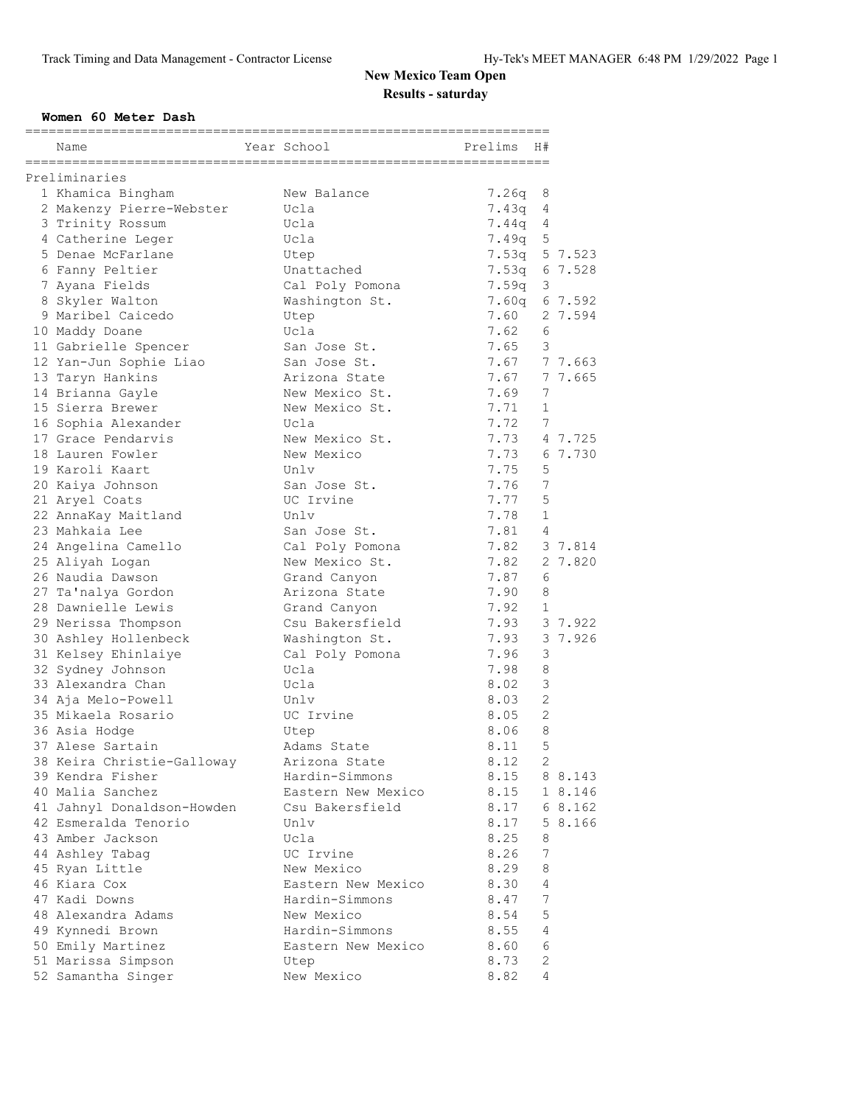### **Women 60 Meter Dash**

| Name                                               | Year School                  | ============<br>Prelims | H#             |         |
|----------------------------------------------------|------------------------------|-------------------------|----------------|---------|
| Preliminaries                                      |                              |                         |                |         |
| 1 Khamica Bingham                                  | New Balance                  | 7.26q                   | 8              |         |
| 2 Makenzy Pierre-Webster                           | Ucla                         | 7.43q                   | 4              |         |
| 3 Trinity Rossum                                   | Ucla                         | 7.44q                   | 4              |         |
| 4 Catherine Leger                                  | Ucla                         | 7.49q                   | 5              |         |
| 5 Denae McFarlane                                  | Utep                         | 7.53q                   |                | 5 7.523 |
| 6 Fanny Peltier                                    | Unattached                   | 7.53q                   |                | 6 7.528 |
| 7 Ayana Fields                                     | Cal Poly Pomona              | 7.59q                   | 3              |         |
| 8 Skyler Walton                                    | Washington St.               | 7.60q                   |                | 6 7.592 |
| 9 Maribel Caicedo                                  | Utep                         | 7.60                    |                | 2 7.594 |
| 10 Maddy Doane                                     | Ucla                         | 7.62                    | 6              |         |
| 11 Gabrielle Spencer                               | San Jose St.                 | 7.65                    | 3              |         |
| 12 Yan-Jun Sophie Liao                             | San Jose St.                 | 7.67                    |                | 7 7.663 |
| 13 Taryn Hankins                                   | Arizona State                | 7.67                    |                | 7 7.665 |
| 14 Brianna Gayle                                   | New Mexico St.               | 7.69                    | 7              |         |
| 15 Sierra Brewer                                   | New Mexico St.               | 7.71                    | $\mathbf 1$    |         |
| 16 Sophia Alexander                                | Ucla                         | 7.72                    | 7              |         |
| 17 Grace Pendarvis                                 | New Mexico St.               | 7.73                    |                | 4 7.725 |
| 18 Lauren Fowler                                   | New Mexico                   | 7.73                    |                | 6 7.730 |
| 19 Karoli Kaart                                    | Unlv                         | 7.75                    | 5              |         |
| 20 Kaiya Johnson                                   | San Jose St.                 | 7.76                    | 7              |         |
| 21 Aryel Coats                                     | UC Irvine                    | 7.77                    | 5              |         |
| 22 AnnaKay Maitland                                | Unlv                         | 7.78                    | $\mathbf{1}$   |         |
| 23 Mahkaia Lee                                     | San Jose St.                 | 7.81                    | 4              |         |
| 24 Angelina Camello                                | Cal Poly Pomona              | 7.82                    |                | 3 7.814 |
| 25 Aliyah Logan                                    | New Mexico St.               | 7.82                    |                | 2 7.820 |
| 26 Naudia Dawson                                   | Grand Canyon                 | 7.87                    | 6              |         |
| 27 Ta'nalya Gordon                                 | Arizona State                | 7.90                    | 8              |         |
| 28 Dawnielle Lewis                                 | Grand Canyon                 | 7.92                    | $\mathbf{1}$   |         |
| 29 Nerissa Thompson                                | Csu Bakersfield              | 7.93                    |                | 3 7.922 |
| 30 Ashley Hollenbeck                               | Washington St.               | 7.93                    |                | 3 7.926 |
| 31 Kelsey Ehinlaiye                                | Cal Poly Pomona              | 7.96                    | 3              |         |
| 32 Sydney Johnson                                  | Ucla                         | 7.98                    | 8              |         |
| 33 Alexandra Chan                                  | Ucla                         | 8.02                    | 3              |         |
| 34 Aja Melo-Powell                                 | Unlv                         | 8.03                    | $\mathbf{2}$   |         |
| 35 Mikaela Rosario                                 | UC Irvine                    | 8.05                    | $\overline{2}$ |         |
| 36 Asia Hodge                                      | Utep                         | 8.06                    | 8              |         |
| 37 Alese Sartain                                   | Adams State                  | 8.11                    | 5              |         |
| 38 Keira Christie-Galloway                         | Arizona State                | 8.12                    | 2              |         |
| 39 Kendra Fisher                                   | Hardin-Simmons               | 8.15                    |                | 8 8.143 |
| 40 Malia Sanchez                                   | Eastern New Mexico           | 8.15                    |                | 1 8.146 |
|                                                    | Csu Bakersfield              | 8.17                    |                | 68.162  |
| 41 Jahnyl Donaldson-Howden<br>42 Esmeralda Tenorio | Unlv                         | 8.17                    |                | 5 8.166 |
|                                                    | Ucla                         |                         |                |         |
| 43 Amber Jackson                                   | UC Irvine                    | 8.25                    | 8              |         |
| 44 Ashley Tabag                                    |                              | 8.26                    | 7              |         |
| 45 Ryan Little                                     | New Mexico                   | 8.29                    | 8              |         |
| 46 Kiara Cox                                       | Eastern New Mexico           | 8.30                    | 4              |         |
| 47 Kadi Downs                                      | Hardin-Simmons               | 8.47                    | 7              |         |
| 48 Alexandra Adams                                 | New Mexico<br>Hardin-Simmons | 8.54                    | 5              |         |
| 49 Kynnedi Brown                                   |                              | 8.55                    | 4              |         |
| 50 Emily Martinez                                  | Eastern New Mexico           | 8.60                    | 6              |         |
| 51 Marissa Simpson                                 | Utep                         | 8.73                    | $\sqrt{2}$     |         |
| 52 Samantha Singer                                 | New Mexico                   | 8.82                    | 4              |         |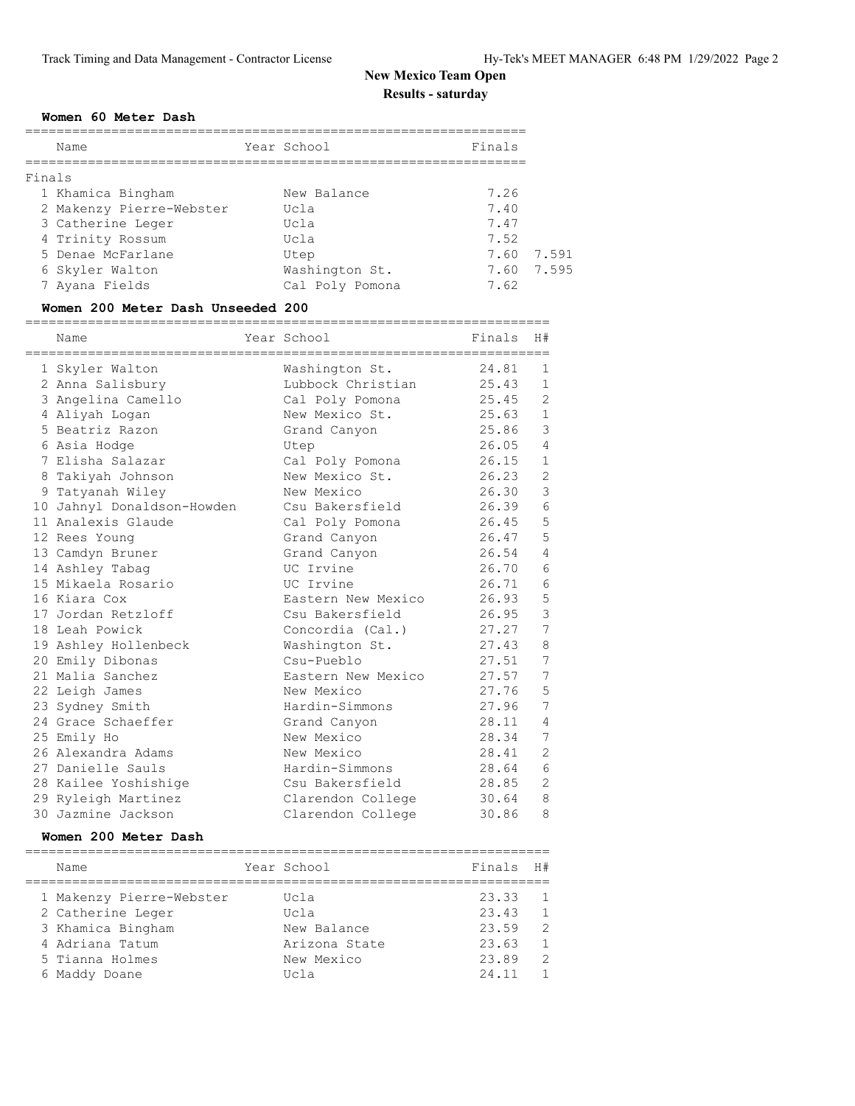#### **Women 60 Meter Dash**

|        | Name                     | Year School     | Finals |            |
|--------|--------------------------|-----------------|--------|------------|
| Finals |                          |                 |        |            |
|        | 1 Khamica Bingham        | New Balance     | 7.26   |            |
|        | 2 Makenzy Pierre-Webster | Ucla            | 7.40   |            |
|        | 3 Catherine Leger        | Ucla            | 7.47   |            |
|        | 4 Trinity Rossum         | Ucla            | 7.52   |            |
|        | 5 Denae McFarlane        | Utep            | 7.60   | 7.591      |
|        | 6 Skyler Walton          | Washington St.  |        | 7.60 7.595 |
|        | 7 Ayana Fields           | Cal Poly Pomona | 7.62   |            |

### **Women 200 Meter Dash Unseeded 200**

| Name                       | Year School        | Finals | H#             |
|----------------------------|--------------------|--------|----------------|
| 1 Skyler Walton            | Washington St.     | 24.81  | 1              |
| 2 Anna Salisbury           | Lubbock Christian  | 25.43  | $\mathbf{1}$   |
| 3 Angelina Camello         | Cal Poly Pomona    | 25.45  | 2              |
| 4 Aliyah Logan             | New Mexico St.     | 25.63  | $\mathbf{1}$   |
| 5 Beatriz Razon            | Grand Canyon       | 25.86  | 3              |
| 6 Asia Hodge               | Utep               | 26.05  | $\overline{4}$ |
| 7 Elisha Salazar           | Cal Poly Pomona    | 26.15  | $\mathbf{1}$   |
| 8 Takiyah Johnson          | New Mexico St.     | 26.23  | $\sqrt{2}$     |
| 9 Tatyanah Wiley           | New Mexico         | 26.30  | $\mathfrak{Z}$ |
| 10 Jahnyl Donaldson-Howden | Csu Bakersfield    | 26.39  | 6              |
| 11 Analexis Glaude         | Cal Poly Pomona    | 26.45  | 5              |
| 12 Rees Young              | Grand Canyon       | 26.47  | 5              |
| 13 Camdyn Bruner           | Grand Canyon       | 26.54  | $\overline{4}$ |
| 14 Ashley Tabaq            | UC Irvine          | 26.70  | $\epsilon$     |
| 15 Mikaela Rosario         | UC Irvine          | 26.71  | $\epsilon$     |
| 16 Kiara Cox               | Eastern New Mexico | 26.93  | 5              |
| 17 Jordan Retzloff         | Csu Bakersfield    | 26.95  | 3              |
| 18 Leah Powick             | Concordia (Cal.)   | 27.27  | $\overline{7}$ |
| 19 Ashley Hollenbeck       | Washington St.     | 27.43  | $\,8\,$        |
| 20 Emily Dibonas           | Csu-Pueblo         | 27.51  | 7              |
| 21 Malia Sanchez           | Eastern New Mexico | 27.57  | 7              |
| 22 Leigh James             | New Mexico         | 27.76  | 5              |
| 23 Sydney Smith            | Hardin-Simmons     | 27.96  | $\overline{7}$ |
| 24 Grace Schaeffer         | Grand Canyon       | 28.11  | $\overline{4}$ |
| 25 Emily Ho                | New Mexico         | 28.34  | 7              |
| 26 Alexandra Adams         | New Mexico         | 28.41  | $\mathbf{2}$   |
| 27 Danielle Sauls          | Hardin-Simmons     | 28.64  | $\epsilon$     |
| 28 Kailee Yoshishige       | Csu Bakersfield    | 28.85  | $\overline{2}$ |
| 29 Ryleigh Martinez        | Clarendon College  | 30.64  | 8              |
| 30 Jazmine Jackson         | Clarendon College  | 30.86  | 8              |

#### **Women 200 Meter Dash**

|  | Name                     | Year School   | Finals | H#             |
|--|--------------------------|---------------|--------|----------------|
|  | 1 Makenzy Pierre-Webster | Ucla          | 23.33  | $\overline{1}$ |
|  | 2 Catherine Leger        | Ucla          | 23.43  | $\overline{1}$ |
|  | 3 Khamica Bingham        | New Balance   | 23.59  | $\mathcal{L}$  |
|  | 4 Adriana Tatum          | Arizona State | 23.63  | $\overline{1}$ |
|  | 5 Tianna Holmes          | New Mexico    | 23.89  | - 2            |
|  | 6 Maddy Doane            | Ucla          | 24.11  | $\mathbf{1}$   |
|  |                          |               |        |                |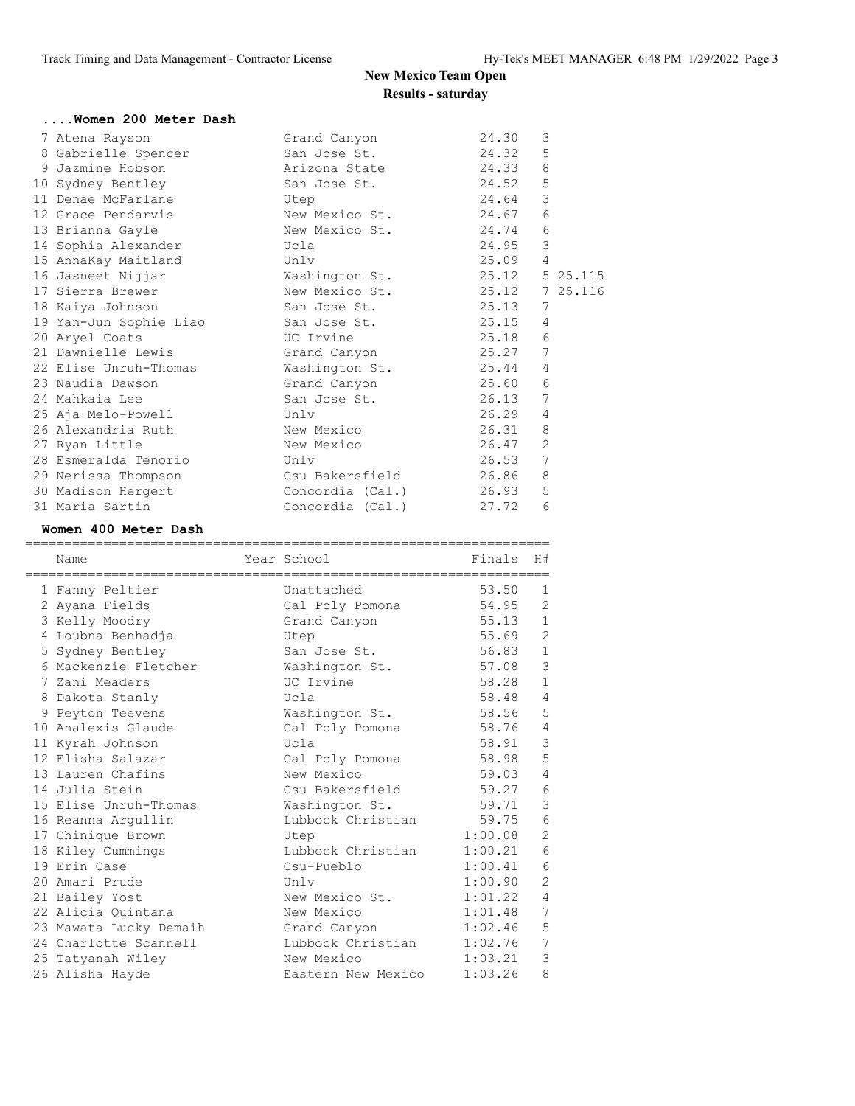| Women 200 Meter Dash                                                          |                                                                                                      |         |                |
|-------------------------------------------------------------------------------|------------------------------------------------------------------------------------------------------|---------|----------------|
| 7 Atena Rayson                                                                | Grand Canyon Santa Canada Summar Service State Street Summar Service Street Summar Service Street St | 24.30   | 3              |
| 8 Gabrielle Spencer San Jose St. 24.32 5                                      |                                                                                                      |         |                |
| 9 Jazmine Hobson                                                              | Arizona State 24.33                                                                                  |         | 8              |
| 10 Sydney Bentley                                                             | San Jose St. 24.52 5                                                                                 |         |                |
| 11 Denae McFarlane<br><b>Example 19</b>                                       |                                                                                                      | 24.64   | 3              |
| 12 Grace Pendarvis New Mexico St. 24.67                                       |                                                                                                      |         | 6              |
| 13 Brianna Gayle                                                              | New Mexico St. 24.74                                                                                 |         | 6              |
| 14 Sophia Alexander                                                           | Ucla                                                                                                 | 24.95   | $\mathcal{S}$  |
| 15 AnnaKay Maitland                                                           | Unlv                                                                                                 | 25.09 4 |                |
| 16 Jasneet Nijjar                                                             | Washington St. 25.12 5 25.115                                                                        |         |                |
| 17 Sierra Brewer                                                              | New Mexico St. 25.12 7 25.116                                                                        |         |                |
| 18 Kaiya Johnson                                                              | San Jose St. 25.13                                                                                   |         | 7              |
| 19 Yan-Jun Sophie Liao San Jose St. 25.15                                     |                                                                                                      |         | $\overline{4}$ |
| 20 Aryel Coats                                                                | UC Irvine                                                                                            | 25.18   | 6              |
| 21 Dawnielle Lewis                                                            | Grand Canyon 51.27 7                                                                                 |         |                |
| 22 Elise Unruh-Thomas                                                         | Washington St. 25.44 4                                                                               |         |                |
| 23 Naudia Dawson                         Grand Canyon                   25.60 |                                                                                                      |         | 6              |
| 24 Mahkaia Lee                                                                | San Jose St. 26.13                                                                                   |         | 7              |
| 25 Aja Melo-Powell<br>Unlv                                                    |                                                                                                      | 26.29   | $\overline{4}$ |
|                                                                               |                                                                                                      | 26.31   | 8              |
| 27 Ryan Little                                                                | New Mexico                                                                                           | 26.47   | $\overline{2}$ |
| 28 Esmeralda Tenorio                                                          | Unlv                                                                                                 | 26.53   | 7              |
| 29 Nerissa Thompson                                                           | Csu Bakersfield 26.86                                                                                |         | 8              |
| 30 Madison Hergert Concordia (Cal.) 26.93                                     |                                                                                                      |         | 5              |
| 31 Maria Sartin                                                               | Concordia (Cal.)                                                                                     | 27.72   | 6              |

### **Women 400 Meter Dash**

| -------------<br>Name  | Year School             | Finals  | H#             |
|------------------------|-------------------------|---------|----------------|
| 1 Fanny Peltier        | Unattached              | 53.50   | 1              |
| 2 Ayana Fields         | Cal Poly Pomona         | 54.95   | 2              |
| 3 Kelly Moodry         | Grand Canyon            | 55.13   | $\mathbf{1}$   |
| 4 Loubna Benhadja      | Utep                    | 55.69   | $\overline{c}$ |
| 5 Sydney Bentley       | San Jose St.            | 56.83   | $\mathbf{1}$   |
| 6 Mackenzie Fletcher   | Washington St.          | 57.08   | 3              |
| 7 Zani Meaders         | UC Irvine               | 58.28   | $\mathbf{1}$   |
| 8 Dakota Stanly        | Ucla                    | 58.48   | $\overline{4}$ |
| 9 Peyton Teevens       | Washington St.          | 58.56   | 5              |
| 10 Analexis Glaude     | Cal Poly Pomona         | 58.76   | $\overline{4}$ |
| 11 Kyrah Johnson       | Ucla                    | 58.91   | 3              |
| 12 Elisha Salazar      | Cal Poly Pomona         | 58.98   | 5              |
| 13 Lauren Chafins      | New Mexico              | 59.03   | $\overline{4}$ |
| 14 Julia Stein         | Csu Bakersfield         | 59.27   | 6              |
| 15 Elise Unruh-Thomas  | Washington St.          | 59.71   | 3              |
| 16 Reanna Argullin     | Lubbock Christian 59.75 |         | 6              |
| 17 Chinique Brown      | Utep                    | 1:00.08 | $\overline{c}$ |
| 18 Kiley Cummings      | Lubbock Christian       | 1:00.21 | $\epsilon$     |
| 19 Erin Case           | Csu-Pueblo              | 1:00.41 | $\epsilon$     |
| 20 Amari Prude         | Unlv                    | 1:00.90 | $\overline{c}$ |
| 21 Bailey Yost         | New Mexico St.          | 1:01.22 | $\overline{4}$ |
| 22 Alicia Ouintana     | New Mexico              | 1:01.48 | 7              |
| 23 Mawata Lucky Demaih | Grand Canyon            | 1:02.46 | 5              |
| 24 Charlotte Scannell  | Lubbock Christian       | 1:02.76 | 7              |
| 25 Tatyanah Wiley      | New Mexico              | 1:03.21 | 3              |
| 26 Alisha Hayde        | Eastern New Mexico      | 1:03.26 | 8              |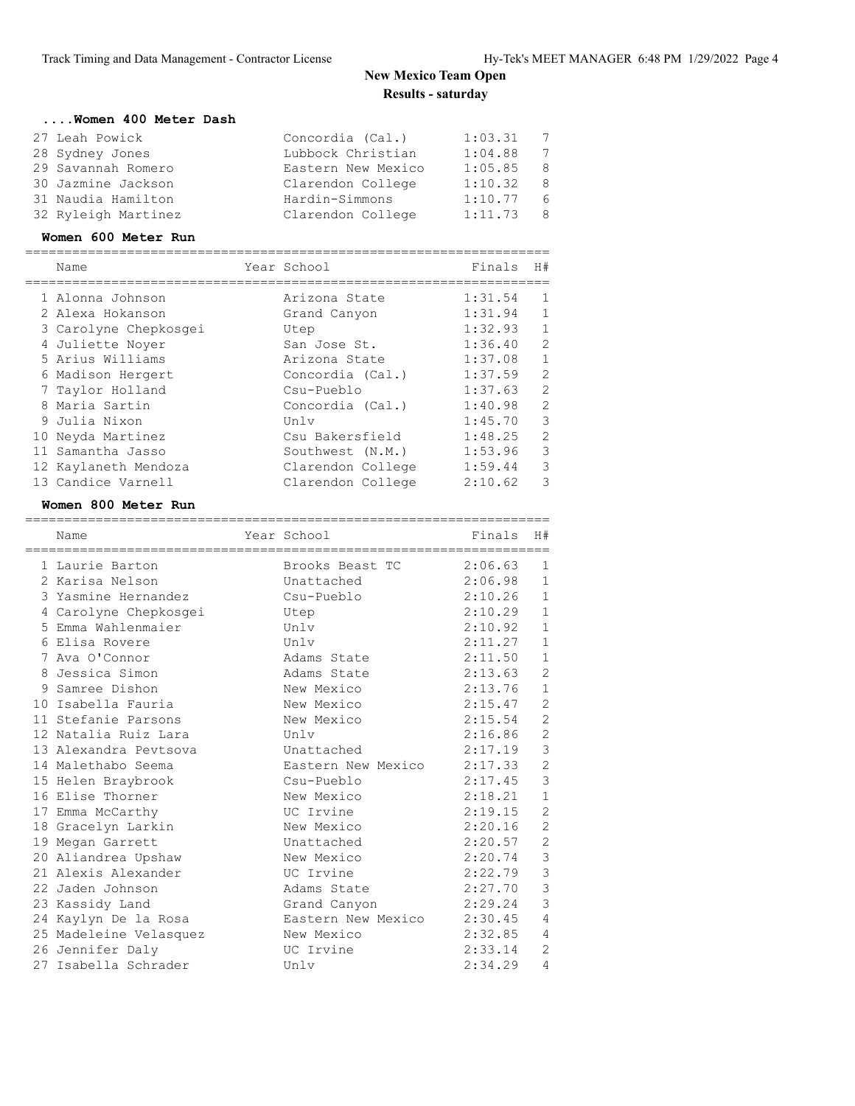| Concordia (Cal.)   | 1:03.31 | 7   |
|--------------------|---------|-----|
| Lubbock Christian  | 1:04.88 | 7   |
| Eastern New Mexico | 1:05.85 | - 8 |
| Clarendon College  | 1:10.32 | - 8 |
| Hardin-Simmons     | 1:10.77 | - 6 |
| Clarendon College  | 1:11.73 | -8  |
|                    |         |     |

### **Women 600 Meter Run**

| Name                  | Year School       | Finals  | H#             |
|-----------------------|-------------------|---------|----------------|
| 1 Alonna Johnson      | Arizona State     | 1:31.54 | 1              |
| 2 Alexa Hokanson      | Grand Canyon      | 1:31.94 | $\mathbf{1}$   |
| 3 Carolyne Chepkosgei | Utep              | 1:32.93 | $\mathbf{1}$   |
| 4 Juliette Noyer      | San Jose St.      | 1:36.40 | $\overline{c}$ |
| 5 Arius Williams      | Arizona State     | 1:37.08 | $\mathbf{1}$   |
| 6 Madison Hergert     | Concordia (Cal.)  | 1:37.59 | $\overline{2}$ |
| 7 Taylor Holland      | Csu-Pueblo        | 1:37.63 | $\overline{c}$ |
| 8 Maria Sartin        | Concordia (Cal.)  | 1:40.98 | $\overline{c}$ |
| 9 Julia Nixon         | Unlv              | 1:45.70 | 3              |
| 10 Neyda Martinez     | Csu Bakersfield   | 1:48.25 | $\overline{c}$ |
| 11 Samantha Jasso     | Southwest (N.M.)  | 1:53.96 | $\mathcal{S}$  |
| 12 Kaylaneth Mendoza  | Clarendon College | 1:59.44 | 3              |
| 13 Candice Varnell    | Clarendon College | 2:10.62 | 3              |

#### **Women 800 Meter Run**

|   | Name                   | Year School        | Finals  | H#             |
|---|------------------------|--------------------|---------|----------------|
|   | 1 Laurie Barton        | Brooks Beast TC    | 2:06.63 | $\mathbf{1}$   |
|   | 2 Karisa Nelson        | Unattached         | 2:06.98 | $\mathbf{1}$   |
|   | 3 Yasmine Hernandez    | Csu-Pueblo         | 2:10.26 | $\mathbf{1}$   |
| 4 | Carolyne Chepkosgei    | Utep               | 2:10.29 | $\mathbf{1}$   |
|   | 5 Emma Wahlenmaier     | Unlv               | 2:10.92 | $\mathbf{1}$   |
|   | 6 Elisa Rovere         | Unlv               | 2:11.27 | $\mathbf{1}$   |
|   | 7 Ava O'Connor         | Adams State        | 2:11.50 | $\mathbf{1}$   |
| 8 | Jessica Simon          | Adams State        | 2:13.63 | $\overline{2}$ |
| 9 | Samree Dishon          | New Mexico         | 2:13.76 | $\mathbf{1}$   |
|   | 10 Isabella Fauria     | New Mexico         | 2:15.47 | $\overline{2}$ |
|   | 11 Stefanie Parsons    | New Mexico         | 2:15.54 | $\mathbf{2}$   |
|   | 12 Natalia Ruiz Lara   | Unlv               | 2:16.86 | $\overline{c}$ |
|   | 13 Alexandra Pevtsova  | Unattached         | 2:17.19 | 3              |
|   | 14 Malethabo Seema     | Eastern New Mexico | 2:17.33 | $\overline{c}$ |
|   | 15 Helen Braybrook     | Csu-Pueblo         | 2:17.45 | 3              |
|   | 16 Elise Thorner       | New Mexico         | 2:18.21 | $\mathbf{1}$   |
|   | 17 Emma McCarthy       | UC Irvine          | 2:19.15 | $\overline{2}$ |
|   | 18 Gracelyn Larkin     | New Mexico         | 2:20.16 | $\mathbf{2}$   |
|   | 19 Megan Garrett       | Unattached         | 2:20.57 | $\overline{c}$ |
|   | 20 Aliandrea Upshaw    | New Mexico         | 2:20.74 | 3              |
|   | 21 Alexis Alexander    | UC Irvine          | 2:22.79 | 3              |
|   | 22 Jaden Johnson       | Adams State        | 2:27.70 | 3              |
|   | 23 Kassidy Land        | Grand Canyon       | 2:29.24 | 3              |
|   | 24 Kaylyn De la Rosa   | Eastern New Mexico | 2:30.45 | 4              |
|   | 25 Madeleine Velasquez | New Mexico         | 2:32.85 | $\overline{4}$ |
|   | 26 Jennifer Daly       | UC Irvine          | 2:33.14 | $\overline{2}$ |
|   | 27 Isabella Schrader   | Unlv               | 2:34.29 | 4              |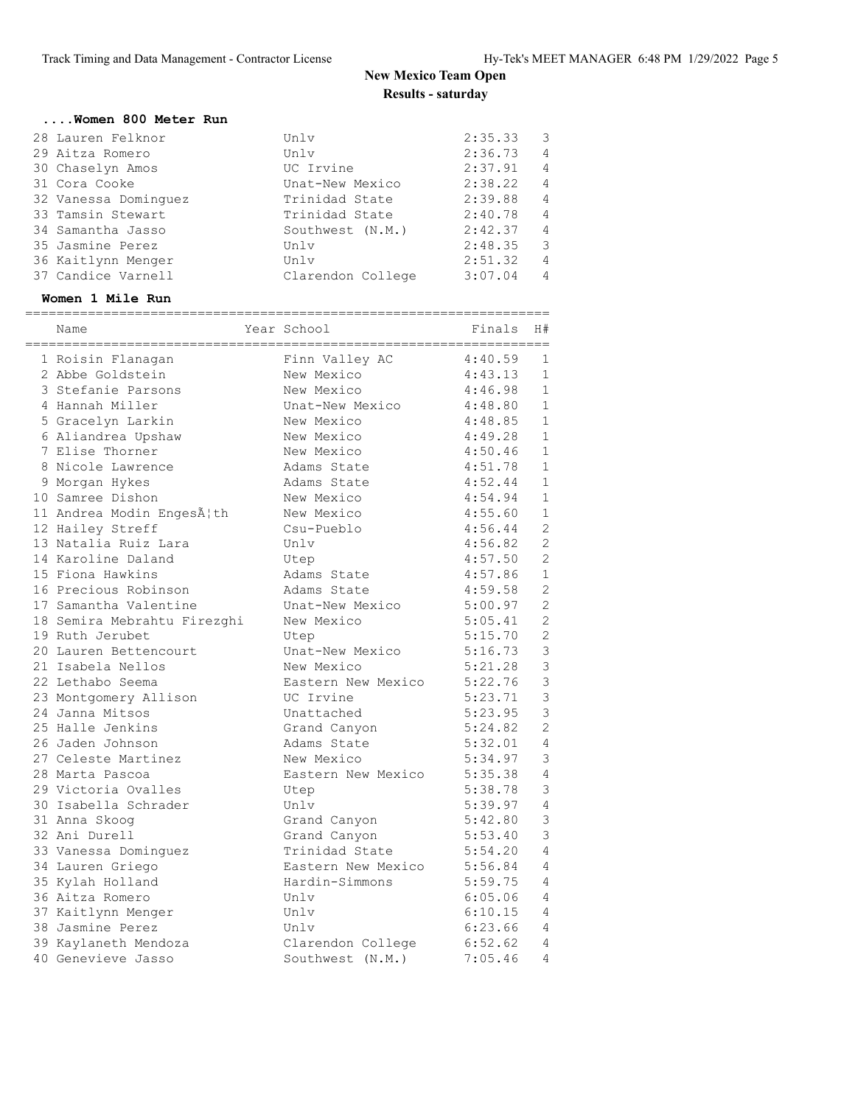#### **....Women 800 Meter Run** 28 Lauren Felknor Unlv 2:35.33 3

| 28 Lauren Felknor    | ∪n⊥v              | 2:35.33 | - 5                     |
|----------------------|-------------------|---------|-------------------------|
| 29 Aitza Romero      | Unlv              | 2:36.73 | $\overline{4}$          |
| 30 Chaselyn Amos     | UC Irvine         | 2:37.91 | $\overline{4}$          |
| 31 Cora Cooke        | Unat-New Mexico   | 2:38.22 | $\overline{4}$          |
| 32 Vanessa Dominguez | Trinidad State    | 2:39.88 | $\overline{4}$          |
| 33 Tamsin Stewart    | Trinidad State    | 2:40.78 | $\overline{4}$          |
| 34 Samantha Jasso    | Southwest (N.M.)  | 2:42.37 | $\overline{4}$          |
| 35 Jasmine Perez     | Unlv              | 2:48.35 | $\overline{\mathbf{3}}$ |
| 36 Kaitlynn Menger   | Unlv              | 2:51.32 | $\overline{4}$          |
| 37 Candice Varnell   | Clarendon College | 3:07.04 | $\overline{4}$          |

#### **Women 1 Mile Run**

| Name                        | Year School        | Finals  | H#             |
|-----------------------------|--------------------|---------|----------------|
| 1 Roisin Flanagan           | Finn Valley AC     | 4:40.59 | 1              |
| 2 Abbe Goldstein            | New Mexico         | 4:43.13 | $\mathbf 1$    |
| 3 Stefanie Parsons          | New Mexico         | 4:46.98 | $\mathbf{1}$   |
| 4 Hannah Miller             | Unat-New Mexico    | 4:48.80 | $\mathbf{1}$   |
| 5 Gracelyn Larkin           | New Mexico         | 4:48.85 | $\,1\,$        |
| 6 Aliandrea Upshaw          | New Mexico         | 4:49.28 | $\mathbf{1}$   |
| 7 Elise Thorner             | New Mexico         | 4:50.46 | $\,1\,$        |
| 8 Nicole Lawrence           | Adams State        | 4:51.78 | $\,1\,$        |
| 9 Morgan Hykes              | Adams State        | 4:52.44 | $\mathbf{1}$   |
| 10 Samree Dishon            | New Mexico         | 4:54.94 | $\,1\,$        |
| 11 Andrea Modin Engesæth    | New Mexico         | 4:55.60 | $\mathbf{1}$   |
| 12 Hailey Streff            | Csu-Pueblo         | 4:56.44 | $\overline{c}$ |
| 13 Natalia Ruiz Lara        | Unlv               | 4:56.82 | $\overline{c}$ |
| 14 Karoline Daland          | Utep               | 4:57.50 | $\overline{c}$ |
| 15 Fiona Hawkins            | Adams State        | 4:57.86 | $\mathbf{1}$   |
| 16 Precious Robinson        | Adams State        | 4:59.58 | $\overline{c}$ |
| 17 Samantha Valentine       | Unat-New Mexico    | 5:00.97 | $\overline{c}$ |
| 18 Semira Mebrahtu Firezghi | New Mexico         | 5:05.41 | $\overline{2}$ |
| 19 Ruth Jerubet             | Utep               | 5:15.70 | $\overline{c}$ |
| 20 Lauren Bettencourt       | Unat-New Mexico    | 5:16.73 | 3              |
| 21 Isabela Nellos           | New Mexico         | 5:21.28 | 3              |
| 22 Lethabo Seema            | Eastern New Mexico | 5:22.76 | 3              |
| 23 Montgomery Allison       | UC Irvine          | 5:23.71 | 3              |
| 24 Janna Mitsos             | Unattached         | 5:23.95 | 3              |
| 25 Halle Jenkins            | Grand Canyon       | 5:24.82 | $\overline{c}$ |
| 26 Jaden Johnson            | Adams State        | 5:32.01 | $\overline{4}$ |
| 27 Celeste Martinez         | New Mexico         | 5:34.97 | 3              |
| 28 Marta Pascoa             | Eastern New Mexico | 5:35.38 | $\overline{4}$ |
| 29 Victoria Ovalles         | Utep               | 5:38.78 | 3              |
| 30 Isabella Schrader        | Unlv               | 5:39.97 | 4              |
| 31 Anna Skoog               | Grand Canyon       | 5:42.80 | 3              |
| 32 Ani Durell               | Grand Canyon       | 5:53.40 | 3              |
| 33 Vanessa Dominguez        | Trinidad State     | 5:54.20 | 4              |
| 34 Lauren Griego            | Eastern New Mexico | 5:56.84 | 4              |
| 35 Kylah Holland            | Hardin-Simmons     | 5:59.75 | 4              |
| 36 Aitza Romero             | Unlv               | 6:05.06 | 4              |
| 37 Kaitlynn Menger          | Unlv               | 6:10.15 | 4              |
| 38 Jasmine Perez            | Unlv               | 6:23.66 | 4              |
| 39 Kaylaneth Mendoza        | Clarendon College  | 6:52.62 | 4              |
| 40 Genevieve Jasso          | Southwest (N.M.)   | 7:05.46 | 4              |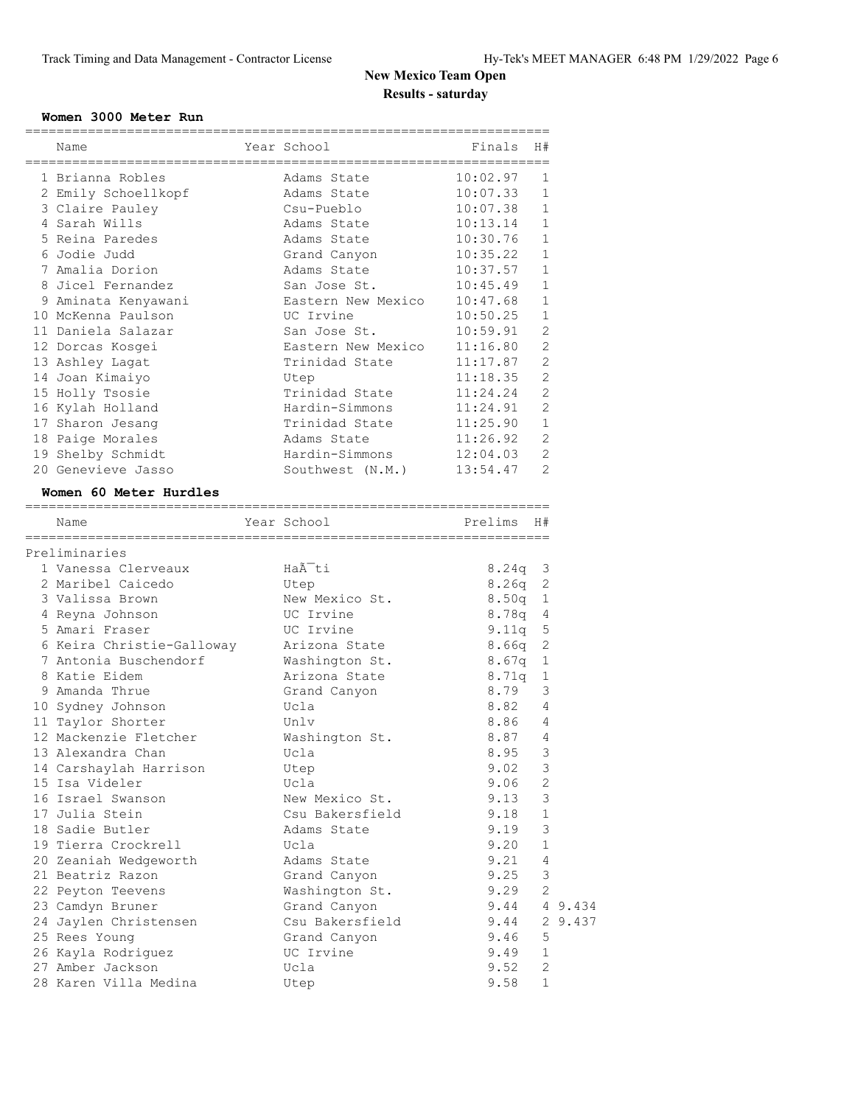### **Women 3000 Meter Run**

|                           |                    | ============== |                |         |
|---------------------------|--------------------|----------------|----------------|---------|
| Name                      | Year School        | Finals         | H#             |         |
| 1 Brianna Robles          | Adams State        | 10:02.97       | 1              |         |
| 2 Emily Schoellkopf       | Adams State        | 10:07.33       | $\mathbf{1}$   |         |
| 3 Claire Pauley           | Csu-Pueblo         | 10:07.38       | 1              |         |
| 4 Sarah Wills             | Adams State        | 10:13.14       | 1              |         |
| 5 Reina Paredes           | Adams State        | 10:30.76       | $\mathbf{1}$   |         |
| 6 Jodie Judd              | Grand Canyon       | 10:35.22       | $\mathbf{1}$   |         |
| 7 Amalia Dorion           | Adams State        | 10:37.57       | 1              |         |
| 8 Jicel Fernandez         | San Jose St.       | 10:45.49       | $\mathbf{1}$   |         |
| 9 Aminata Kenyawani       | Eastern New Mexico | 10:47.68       | 1              |         |
| 10 McKenna Paulson        | UC Irvine          | 10:50.25       | 1              |         |
| 11 Daniela Salazar        | San Jose St.       | 10:59.91       | 2              |         |
| 12 Dorcas Kosgei          | Eastern New Mexico | 11:16.80       | 2              |         |
| 13 Ashley Lagat           | Trinidad State     | 11:17.87       | $\overline{2}$ |         |
| 14 Joan Kimaiyo           | Utep               | 11:18.35       | $\overline{2}$ |         |
| 15 Holly Tsosie           | Trinidad State     | 11:24.24       | 2              |         |
| 16 Kylah Holland          | Hardin-Simmons     | 11:24.91       | 2              |         |
| 17 Sharon Jesang          | Trinidad State     | 11:25.90       | $\mathbf{1}$   |         |
| 18 Paige Morales          | Adams State        | 11:26.92       | 2              |         |
| 19 Shelby Schmidt         | Hardin-Simmons     | 12:04.03       | 2              |         |
| 20 Genevieve Jasso        | Southwest (N.M.)   | 13:54.47       | $\overline{2}$ |         |
| Women 60 Meter Hurdles    |                    |                |                |         |
|                           |                    |                |                |         |
| Name                      | Year School        | Prelims        | H#             |         |
| Preliminaries             |                    |                |                |         |
| 1 Vanessa Clerveaux       | Haà ti             | $8.24q$ 3      |                |         |
| 2 Maribel Caicedo         | Utep               | 8.26q          | 2              |         |
| 3 Valissa Brown           | New Mexico St.     | 8.50q          | 1              |         |
| 4 Reyna Johnson           | UC Irvine          | 8.78q          | 4              |         |
| 5 Amari Fraser            | UC Irvine          | 9.11q          | $\mathbf 5$    |         |
| 6 Keira Christie-Galloway | Arizona State      | 8.66q          | 2              |         |
| 7 Antonia Buschendorf     | Washington St.     | 8.67q          | 1              |         |
| 8 Katie Eidem             | Arizona State      | 8.71q          | 1              |         |
| 9 Amanda Thrue            | Grand Canyon       | 8.79           | 3              |         |
| 10 Sydney Johnson         | Ucla               | 8.82           | 4              |         |
| 11 Taylor Shorter         | Unlv               | 8.86           | 4              |         |
| 12 Mackenzie Fletcher     | Washington St.     | 8.87           | $\overline{4}$ |         |
| 13 Alexandra Chan         | Ucla               | 8.95           | 3              |         |
| 14 Carshaylah Harrison    | Utep               | 9.02           | 3              |         |
| 15 Isa Videler            | Ucla               | 9.06           | $\mathbf{2}$   |         |
| 16 Israel Swanson         | New Mexico St.     | 9.13           | $\mathsf 3$    |         |
| 17 Julia Stein            | Csu Bakersfield    | 9.18           | $\mathbf 1$    |         |
| 18 Sadie Butler           | Adams State        | 9.19           | $\mathfrak{Z}$ |         |
| 19 Tierra Crockrell       | Ucla               | 9.20           | $\mathbf 1$    |         |
| 20 Zeaniah Wedgeworth     | Adams State        | 9.21           | 4              |         |
| 21 Beatriz Razon          | Grand Canyon       | 9.25           | 3              |         |
| 22 Peyton Teevens         | Washington St.     | 9.29           | $\mathbf{2}$   |         |
| 23 Camdyn Bruner          | Grand Canyon       | 9.44           |                | 4 9.434 |
| 24 Jaylen Christensen     | Csu Bakersfield    | 9.44           |                | 2 9.437 |
| 25 Rees Young             | Grand Canyon       | 9.46           | 5              |         |
| 26 Kayla Rodriguez        | UC Irvine          | 9.49           | $\mathbf{1}$   |         |
| 27 Amber Jackson          | Ucla               | 9.52           | 2              |         |
| 28 Karen Villa Medina     | Utep               | 9.58           | $\mathbf{1}$   |         |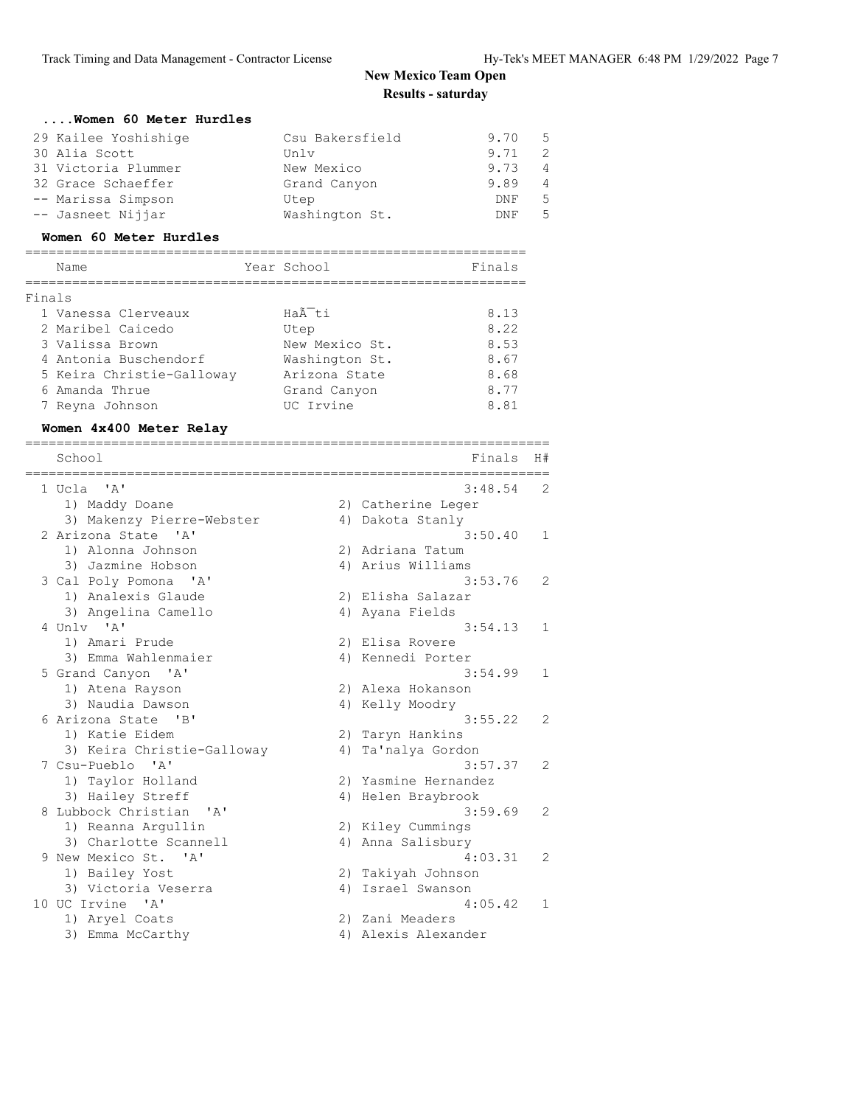#### **....Women 60 Meter Hurdles**

| 29 Kailee Yoshishige | Csu Bakersfield | 9.70 | - 5            |
|----------------------|-----------------|------|----------------|
| 30 Alia Scott        | Unlv            | 9.71 | -2             |
| 31 Victoria Plummer  | New Mexico      | 9.73 | 4              |
| 32 Grace Schaeffer   | Grand Canyon    | 9.89 | $\overline{4}$ |
| -- Marissa Simpson   | Utep            | DNF  | 5              |
| -- Jasneet Nijjar    | Washington St.  | DNF. | .5             |

#### **Women 60 Meter Hurdles**

# ================================================================

|        | Name                      | Year School    | Finals |
|--------|---------------------------|----------------|--------|
| Finals |                           |                |        |
|        | 1 Vanessa Clerveaux       | Haà ti         | 8.13   |
|        | 2 Maribel Caicedo         | Utep           | 8.22   |
|        | 3 Valissa Brown           | New Mexico St. | 8.53   |
|        | 4 Antonia Buschendorf     | Washington St. | 8.67   |
|        | 5 Keira Christie-Galloway | Arizona State  | 8.68   |
|        | 6 Amanda Thrue            | Grand Canyon   | 8.77   |
|        | 7 Reyna Johnson           | UC Irvine      | 8.81   |

#### **Women 4x400 Meter Relay**

| School                                         |    | Finals               | H#             |
|------------------------------------------------|----|----------------------|----------------|
| 1 Ucla 'A'                                     |    | 3:48.54              | $\overline{2}$ |
| 1) Maddy Doane                                 |    | 2) Catherine Leger   |                |
| 3) Makenzy Pierre-Webster                      |    | 4) Dakota Stanly     |                |
| 2 Arizona State 'A'                            |    | 3:50.40              | 1              |
| 1) Alonna Johnson                              |    | 2) Adriana Tatum     |                |
| 3) Jazmine Hobson                              |    | 4) Arius Williams    |                |
| 3 Cal Poly Pomona<br>$^{\prime}$ A $^{\prime}$ |    | 3:53.76              | 2              |
| 1) Analexis Glaude                             |    | 2) Elisha Salazar    |                |
| 3) Angelina Camello                            |    | 4) Ayana Fields      |                |
| 4 Unly 'A'                                     |    | 3:54.13              | 1              |
| 1) Amari Prude                                 |    | 2) Elisa Rovere      |                |
| 3) Emma Wahlenmaier                            |    | 4) Kennedi Porter    |                |
| 5 Grand Canyon 'A'                             |    | 3:54.99              | $\mathbf 1$    |
| 1) Atena Rayson                                |    | 2) Alexa Hokanson    |                |
| 3) Naudia Dawson                               |    | 4) Kelly Moodry      |                |
| 6 Arizona State 'B'                            |    | 3:55.22              | 2              |
| 1) Katie Eidem                                 |    | 2) Taryn Hankins     |                |
| 3) Keira Christie-Galloway                     | 4) | Ta'nalya Gordon      |                |
| 7 Csu-Pueblo 'A'                               |    | 3:57.37              | 2              |
| 1) Taylor Holland                              |    | 2) Yasmine Hernandez |                |
| 3) Hailey Streff                               |    | 4) Helen Braybrook   |                |
| 8 Lubbock Christian<br>$\mathsf{A}$            |    | 3:59.69              | 2              |
| 1) Reanna Argullin                             |    | 2) Kiley Cummings    |                |
| 3) Charlotte Scannell                          |    | 4) Anna Salisbury    |                |
| 9 New Mexico St. 'A'                           |    | 4:03.31              | 2              |
| 1) Bailey Yost                                 |    | 2) Takiyah Johnson   |                |
| 3) Victoria Veserra                            |    | 4) Israel Swanson    |                |
| 10 UC Irvine 'A'                               |    | 4:05.42              | 1              |
| 1) Aryel Coats                                 |    | 2) Zani Meaders      |                |
| 3) Emma McCarthy                               |    | 4) Alexis Alexander  |                |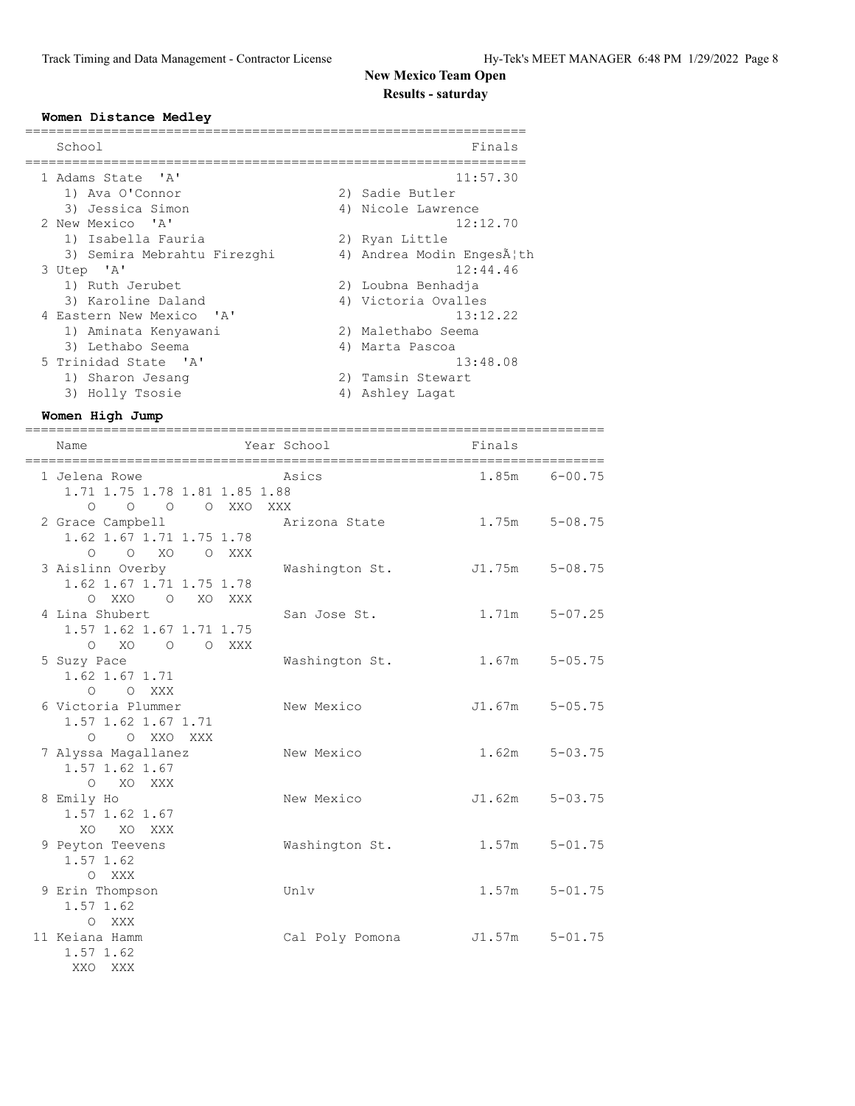#### **Women Distance Medley**

| School                      | Finals                   |
|-----------------------------|--------------------------|
| 1 Adams State 'A'           | 11:57.30                 |
| 1) Ava O'Connor             | 2) Sadie Butler          |
| 3) Jessica Simon            | 4) Nicole Lawrence       |
| 2 New Mexico 'A'            | 12:12.70                 |
| 1) Isabella Fauria          | 2) Ryan Little           |
| 3) Semira Mebrahtu Firezghi | 4) Andrea Modin EngesĦth |
| 3 Utep 'A'                  | 12:44.46                 |
| 1) Ruth Jerubet             | 2) Loubna Benhadja       |
| 3) Karoline Daland          | 4) Victoria Ovalles      |
| 4 Eastern New Mexico 'A'    | 13:12.22                 |
| 1) Aminata Kenyawani        | 2) Malethabo Seema       |
| 3) Lethabo Seema            | 4) Marta Pascoa          |
| 5 Trinidad State 'A'        | 13:48.08                 |
| 1) Sharon Jesang            | 2) Tamsin Stewart        |
| 3) Holly Tsosie             | 4) Ashley Lagat          |

#### **Women High Jump**

XO XO XXX

 1.57 1.62 O XXX

 1.57 1.62 O XXX<br>11 Keiana Hamm

> 1.57 1.62 XXO XXX

========================================================================== Name Year School Finals ========================================================================== Asics 1.85m 6-00.75 1.71 1.75 1.78 1.81 1.85 1.88 O O O O XXO XXX 2 Grace Campbell Arizona State 1.75m 5-08.75 1.62 1.67 1.71 1.75 1.78 O O XO O XXX 3 Aislinn Overby **Washington St.** J1.75m 5-08.75 1.62 1.67 1.71 1.75 1.78 O XXO O XO XXX 4 Lina Shubert San Jose St. 1.71m 5-07.25 1.57 1.62 1.67 1.71 1.75 O XO O O XXX 5 Suzy Pace Washington St. 1.67m 5-05.75 1.62 1.67 1.71 O O XXX 6 Victoria Plummer New Mexico J1.67m 5-05.75 1.57 1.62 1.67 1.71 O O XXO XXX 7 Alyssa Magallanez New Mexico 1.62m 5-03.75 1.57 1.62 1.67 O XO XXX 8 Emily Ho New Mexico J1.62m 5-03.75 1.57 1.62 1.67

9 Peyton Teevens **Washington St.** 1.57m 5-01.75

9 Erin Thompson Unlv 1.57m 5-01.75

 $Cal$  Poly Pomona  $JI.57m$   $5-01.75$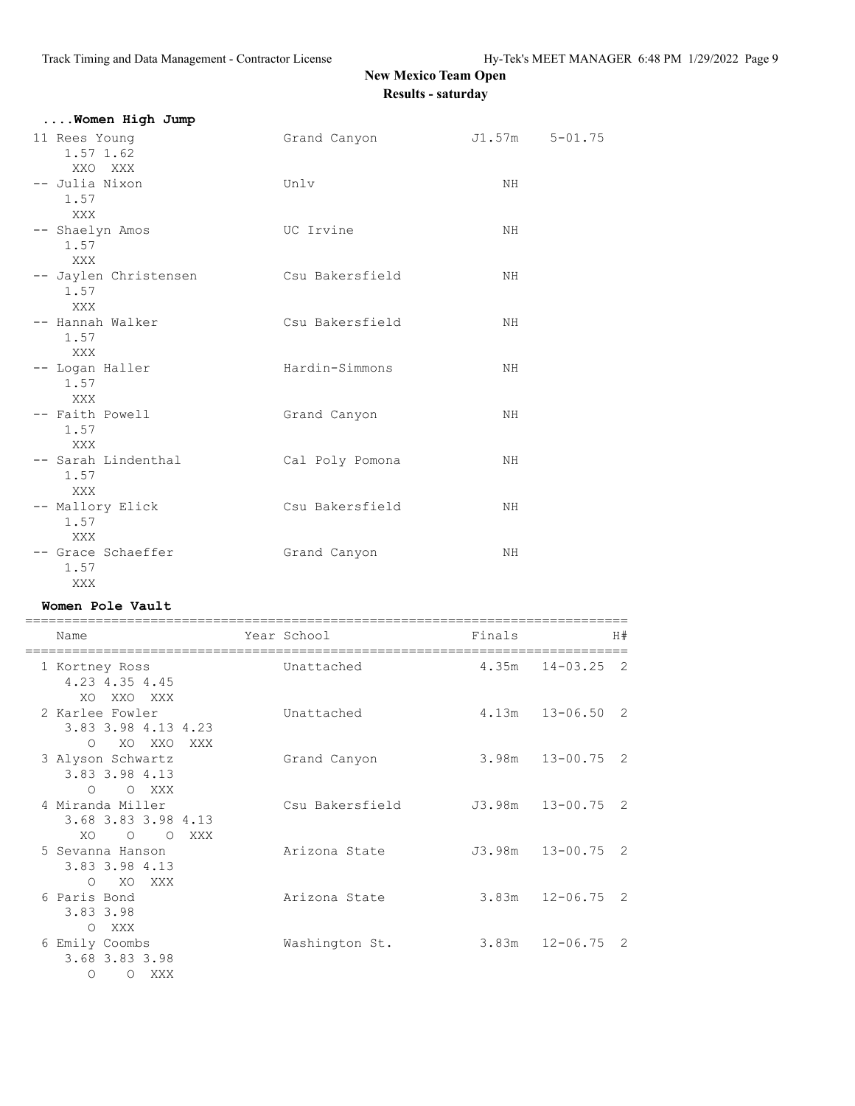| Women High Jump                       |                 |                |  |
|---------------------------------------|-----------------|----------------|--|
| 11 Rees Young<br>1.57 1.62<br>XXO XXX | Grand Canyon    | J1.57m 5-01.75 |  |
| -- Julia Nixon<br>1.57<br>XXX         | Unlv            | NH.            |  |
| -- Shaelyn Amos<br>1.57<br>XXX        | UC Irvine       | NH             |  |
| -- Jaylen Christensen<br>1.57<br>XXX  | Csu Bakersfield | NH             |  |
| -- Hannah Walker<br>1.57<br>XXX       | Csu Bakersfield | NH             |  |
| -- Logan Haller<br>1.57<br>XXX        | Hardin-Simmons  | NH             |  |
| -- Faith Powell<br>1.57<br><b>XXX</b> | Grand Canyon    | NH.            |  |
| -- Sarah Lindenthal<br>1.57<br>XXX    | Cal Poly Pomona | NH.            |  |
| -- Mallory Elick<br>1.57<br>XXX       | Csu Bakersfield | NH.            |  |
| -- Grace Schaeffer<br>1.57<br>XXX     | Grand Canyon    | NH             |  |

### **Women Pole Vault**

| Name                                                                         | Year School     | Finals | H#                             |
|------------------------------------------------------------------------------|-----------------|--------|--------------------------------|
| 1 Kortney Ross<br>4.23 4.35 4.45<br>XXO XXX<br>XO.                           | Unattached      | 4.35m  | $14 - 03.25$<br>$\overline{2}$ |
| 2 Karlee Fowler<br>3.83 3.98 4.13 4.23<br>XO XXO<br>$\circ$<br>XXX           | Unattached      |        | $4.13m$ $13-06.50$ 2           |
| 3 Alyson Schwartz<br>3.83 3.98 4.13<br>O XXX<br>$\circ$                      | Grand Canyon    |        | $3.98m$ $13-00.75$ 2           |
| 4 Miranda Miller<br>3.68 3.83 3.98 4.13<br>XO.<br>$\circ$<br>$\Omega$<br>XXX | Csu Bakersfield |        | J3.98m 13-00.75 2              |
| 5 Sevanna Hanson<br>3.83 3.98 4.13<br>XO<br>$\circ$<br>XXX X                 | Arizona State   |        | $J3.98m$ $13-00.75$ 2          |
| 6 Paris Bond<br>3.83 3.98<br>XXX<br>$\circ$                                  | Arizona State   |        | $3.83m$ $12-06.75$ 2           |
| 6 Emily Coombs<br>3.68 3.83 3.98<br>$\Omega$<br>$\Omega$<br>XXX              | Washington St.  |        | $3.83m$ $12-06.75$ 2           |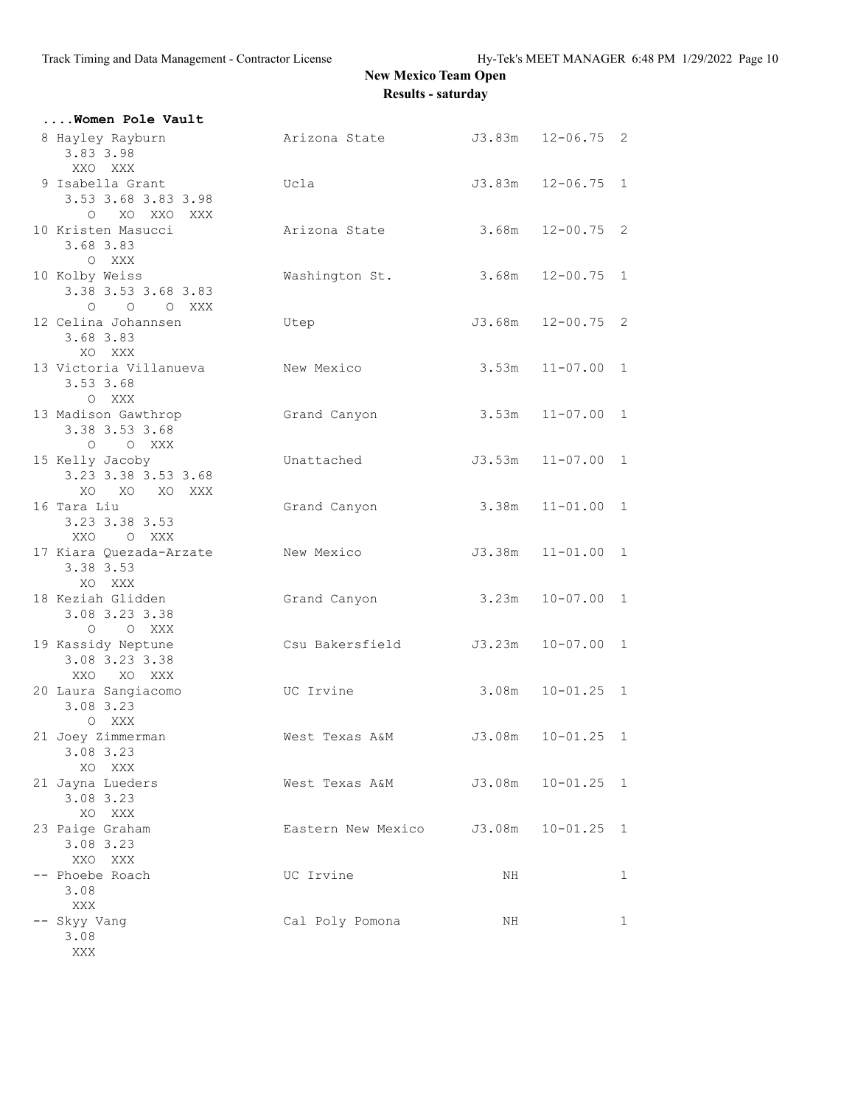| Women Pole Vault                                        |                    |        |                   |   |
|---------------------------------------------------------|--------------------|--------|-------------------|---|
| 8 Hayley Rayburn<br>3.83 3.98<br>XXO XXX                | Arizona State      |        | J3.83m 12-06.75 2 |   |
| 9 Isabella Grant<br>3.53 3.68 3.83 3.98<br>O XO XXO XXX | Ucla               | J3.83m | $12 - 06.75$ 1    |   |
| 10 Kristen Masucci<br>3.68 3.83<br>O XXX                | Arizona State      | 3.68m  | $12 - 00.75$ 2    |   |
| 10 Kolby Weiss<br>3.38 3.53 3.68 3.83<br>O O O XXX      | Washington St.     | 3.68m  | $12 - 00.75$ 1    |   |
| 12 Celina Johannsen<br>3.68 3.83<br>XO XXX              | Utep               |        | J3.68m 12-00.75 2 |   |
| 13 Victoria Villanueva<br>3.53 3.68<br>O XXX            | New Mexico         | 3.53m  | $11 - 07.00$ 1    |   |
| 13 Madison Gawthrop<br>3.38 3.53 3.68<br>O O XXX        | Grand Canyon       | 3.53m  | $11 - 07.00$ 1    |   |
| 15 Kelly Jacoby<br>3.23 3.38 3.53 3.68<br>XO XO XO XXX  | Unattached         | J3.53m | $11 - 07.00$ 1    |   |
| 16 Tara Liu<br>3.23 3.38 3.53<br>XXO O XXX              | Grand Canyon       | 3.38m  | $11 - 01.00$ 1    |   |
| 17 Kiara Quezada-Arzate<br>3.38 3.53<br>XO XXX          | New Mexico         | J3.38m | $11 - 01.00$ 1    |   |
| 18 Keziah Glidden<br>3.08 3.23 3.38<br>O O XXX          | Grand Canyon       | 3.23m  | $10 - 07.00$ 1    |   |
| 19 Kassidy Neptune<br>3.08 3.23 3.38<br>XXO XO XXX      | Csu Bakersfield    | J3.23m | $10 - 07.00$ 1    |   |
| 20 Laura Sangiacomo<br>3.08 3.23<br>O XXX               | UC Irvine          | 3.08m  | $10 - 01.25$ 1    |   |
| 21 Joey Zimmerman<br>3.08 3.23<br>XO XXX                | West Texas A&M     | J3.08m | $10 - 01.25$ 1    |   |
| 21 Jayna Lueders<br>3.08 3.23<br>XO XXX                 | West Texas A&M     | J3.08m | $10 - 01.25$ 1    |   |
| 23 Paige Graham<br>3.08 3.23<br>XXO XXX                 | Eastern New Mexico | J3.08m | $10 - 01.25$ 1    |   |
| -- Phoebe Roach<br>3.08<br>XXX                          | UC Irvine          | NH     |                   | 1 |
| -- Skyy Vang<br>3.08<br>XXX                             | Cal Poly Pomona    | ΝH     |                   | 1 |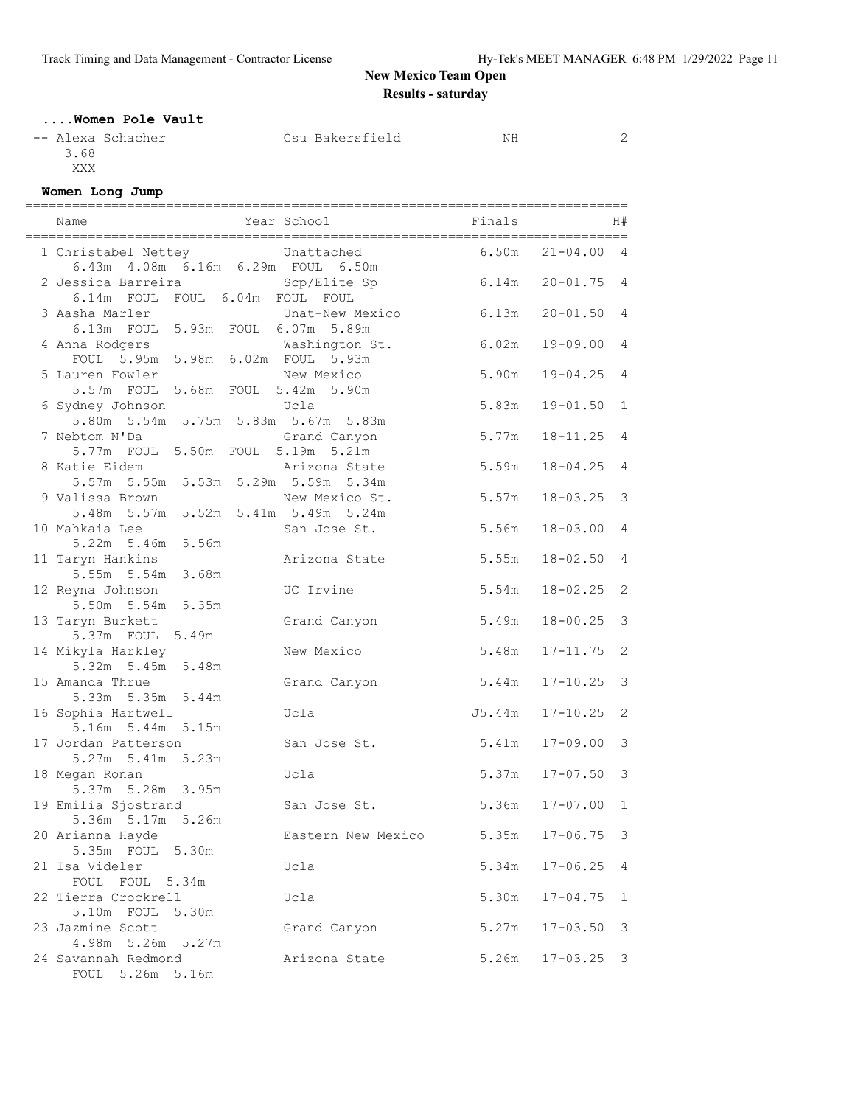### **....Women Pole Vault**

| -- Alexa Schacher | Csu Bakersfield | NΗ | $\sim$ |
|-------------------|-----------------|----|--------|
| 3.68              |                 |    |        |
| XXX               |                 |    |        |

### **Women Long Jump**

|                                         |                    | ======= |                |                |
|-----------------------------------------|--------------------|---------|----------------|----------------|
| Name                                    | Year School        | Finals  |                | H#             |
| 1 Christabel Nettey brattached          |                    | 6.50m   | $21 - 04.004$  |                |
| 6.43m  4.08m  6.16m  6.29m  FOUL  6.50m |                    |         |                |                |
| 2 Jessica Barreira (Scp/Elite Sp        |                    | 6.14m   | $20 - 01.75$ 4 |                |
| 6.14m FOUL FOUL 6.04m FOUL FOUL         |                    |         |                |                |
| 3 Aasha Marler                          | Unat-New Mexico    | 6.13m   | $20 - 01.50$   | $\overline{4}$ |
| 6.13m FOUL 5.93m FOUL 6.07m 5.89m       |                    |         |                |                |
| 4 Anna Rodgers                          | Washington St.     | 6.02m   | $19 - 09.00$   | $\overline{4}$ |
| FOUL 5.95m 5.98m 6.02m FOUL 5.93m       |                    |         |                |                |
| 5 Lauren Fowler                         | New Mexico         | 5.90m   | $19 - 04.25$   | $\overline{4}$ |
| 5.57m FOUL 5.68m FOUL 5.42m 5.90m       |                    |         |                |                |
| 6 Sydney Johnson                        | Ucla               | 5.83m   | $19 - 01.50$   | $\mathbf{1}$   |
| 5.80m 5.54m 5.75m 5.83m 5.67m 5.83m     |                    |         |                |                |
| 7 Nebtom N'Da                           | Grand Canyon       | 5.77m   | $18 - 11.25$   | $\overline{4}$ |
| 5.77m FOUL 5.50m FOUL 5.19m 5.21m       |                    |         |                |                |
| 8 Katie Eidem                           | Arizona State      | 5.59m   | $18 - 04.25$   | $\overline{4}$ |
| 5.57m 5.55m 5.53m 5.29m 5.59m 5.34m     |                    |         |                |                |
| 9 Valissa Brown                         | New Mexico St.     | 5.57m   | $18 - 03.25$   | $\mathcal{S}$  |
| 5.48m 5.57m 5.52m 5.41m 5.49m 5.24m     |                    |         |                |                |
| 10 Mahkaia Lee                          | San Jose St.       | 5.56m   | $18 - 03.00$   | $\overline{4}$ |
| 5.22m 5.46m 5.56m                       |                    |         |                |                |
| 11 Taryn Hankins                        | Arizona State      | 5.55m   | $18 - 02.50$   | $\overline{4}$ |
| 5.55m 5.54m 3.68m                       |                    |         |                |                |
| 12 Reyna Johnson                        | UC Irvine          | 5.54m   | $18 - 02.25$   | 2              |
| 5.50m 5.54m 5.35m                       |                    |         |                |                |
| 13 Taryn Burkett                        | Grand Canyon       | 5.49m   | $18 - 00.25$   | $\mathcal{S}$  |
| 5.37m FOUL 5.49m                        |                    |         |                |                |
| 14 Mikyla Harkley                       | New Mexico         | 5.48m   | $17 - 11.75$   | 2              |
| 5.32m 5.45m 5.48m                       |                    |         |                |                |
| 15 Amanda Thrue                         | Grand Canyon       | 5.44m   | $17 - 10.25$   | $\mathcal{S}$  |
| 5.33m 5.35m 5.44m                       |                    |         |                |                |
| 16 Sophia Hartwell                      | Ucla               | J5.44m  | $17 - 10.25$   | 2              |
| 5.16m 5.44m 5.15m                       |                    |         |                |                |
| 17 Jordan Patterson                     | San Jose St.       | 5.41m   | $17 - 09.00$   | 3              |
| 5.27m 5.41m 5.23m                       |                    |         |                |                |
| 18 Megan Ronan                          | Ucla               | 5.37m   | $17 - 07.50$   | $\mathcal{S}$  |
| 5.37m 5.28m 3.95m                       |                    |         |                |                |
| 19 Emilia Sjostrand                     | San Jose St.       | 5.36m   | $17 - 07.00$   | $\overline{1}$ |
| 5.36m 5.17m 5.26m                       |                    |         |                |                |
| 20 Arianna Hayde                        | Eastern New Mexico | 5.35m   | $17 - 06.75$   | 3              |
| 5.35m FOUL<br>5.30m                     |                    |         |                |                |
| 21 Isa Videler                          | Ucla               | 5.34m   | $17 - 06.25$   | 4              |
| FOUL 5.34m<br>FOUL                      |                    |         |                |                |
| 22 Tierra Crockrell                     | Ucla               | 5.30m   | $17 - 04.75$   | 1              |
| 5.10m FOUL 5.30m                        |                    |         |                |                |
| 23 Jazmine Scott                        | Grand Canyon       | 5.27m   | $17 - 03.50$   | 3              |
| 4.98m 5.26m 5.27m                       |                    |         |                |                |
| 24 Savannah Redmond                     | Arizona State      | 5.26m   | $17 - 03.25$   | 3              |
| FOUL<br>5.26m<br>5.16m                  |                    |         |                |                |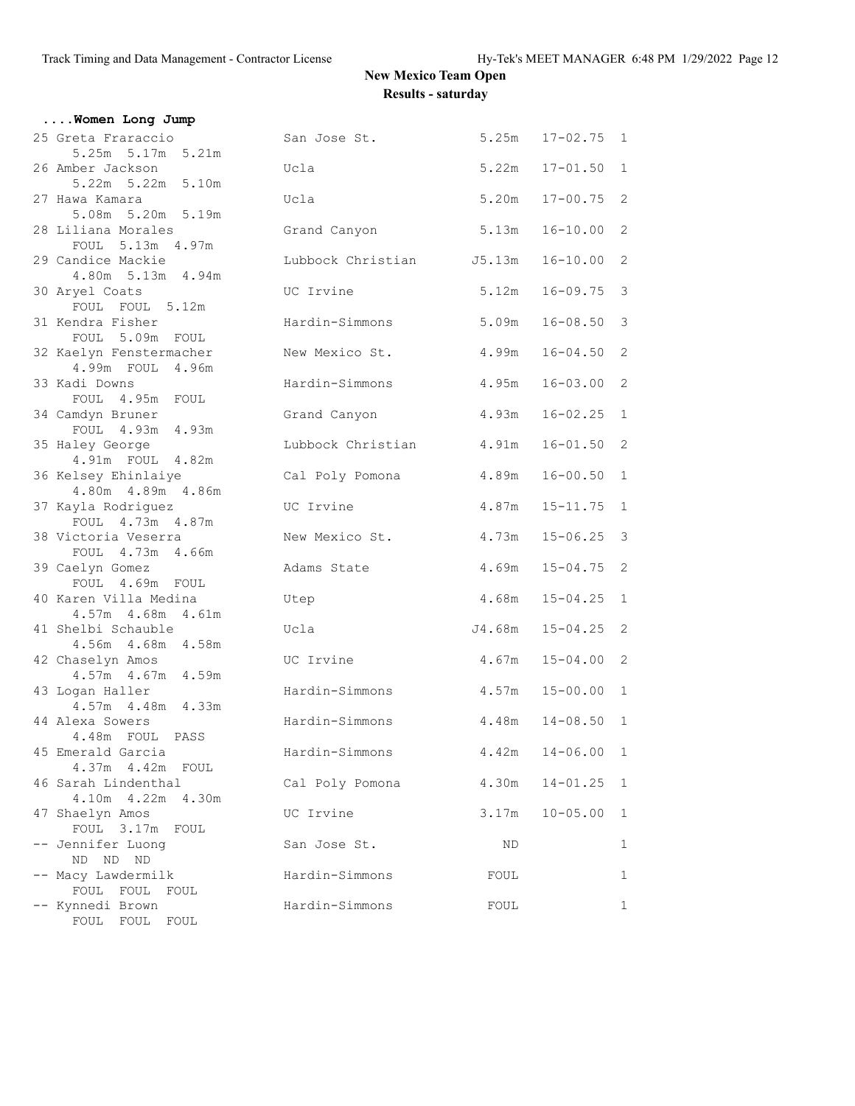| Women Long Jump                                        |                          |        |                  |                |
|--------------------------------------------------------|--------------------------|--------|------------------|----------------|
| 25 Greta Fraraccio<br>5.25m 5.17m 5.21m                | San Jose St.             |        | 5.25m 17-02.75 1 |                |
| 26 Amber Jackson<br>5.22m 5.22m 5.10m                  | Ucla                     | 5.22m  | $17 - 01.50$     | $\mathbf{1}$   |
| 27 Hawa Kamara<br>5.08m 5.20m 5.19m                    | Ucla                     | 5.20m  | $17 - 00.75$ 2   |                |
| 28 Liliana Morales<br>FOUL 5.13m 4.97m                 | Grand Canyon             | 5.13m  | $16 - 10.00$     | $\overline{c}$ |
| 29 Candice Mackie                                      | Lubbock Christian J5.13m |        | $16 - 10.00$     | $\overline{c}$ |
| 4.80m 5.13m 4.94m<br>30 Aryel Coats<br>FOUL FOUL 5.12m | UC Irvine                | 5.12m  | $16 - 09.75$ 3   |                |
| 31 Kendra Fisher                                       | Hardin-Simmons           | 5.09m  | $16 - 08.50$ 3   |                |
| FOUL 5.09m FOUL<br>32 Kaelyn Fenstermacher             | New Mexico St.           | 4.99m  | $16 - 04.50$ 2   |                |
| 4.99m FOUL 4.96m<br>33 Kadi Downs<br>FOUL 4.95m FOUL   | Hardin-Simmons           | 4.95m  | $16 - 03.00$ 2   |                |
| 34 Camdyn Bruner                                       | Grand Canyon             | 4.93m  | $16 - 02.25$ 1   |                |
| FOUL 4.93m 4.93m<br>35 Haley George                    | Lubbock Christian        | 4.91m  | $16 - 01.50$     | $\overline{c}$ |
| 4.91m FOUL 4.82m<br>36 Kelsey Ehinlaiye                | Cal Poly Pomona          | 4.89m  | $16 - 00.50$     | $\mathbf{1}$   |
| 4.80m  4.89m  4.86m<br>37 Kayla Rodriguez              | UC Irvine                | 4.87m  | $15 - 11.75$ 1   |                |
| FOUL 4.73m 4.87m<br>38 Victoria Veserra                | New Mexico St.           | 4.73m  | $15 - 06.25$     | $\mathcal{S}$  |
| FOUL 4.73m 4.66m<br>39 Caelyn Gomez                    | Adams State              | 4.69m  | $15 - 04.75$ 2   |                |
| FOUL 4.69m FOUL<br>40 Karen Villa Medina               | Utep                     | 4.68m  | $15 - 04.25$     | $\mathbf{1}$   |
| 4.57m 4.68m 4.61m<br>41 Shelbi Schauble                | Ucla                     | J4.68m | $15 - 04.25$     | $\overline{c}$ |
| 4.56m  4.68m  4.58m<br>42 Chaselyn Amos                | UC Irvine                | 4.67m  | $15 - 04.00$     | $\overline{c}$ |
| 4.57m  4.67m  4.59m<br>43 Logan Haller                 | Hardin-Simmons           | 4.57m  | $15 - 00.00$     | $\mathbf{1}$   |
| 4.57m  4.48m  4.33m<br>44 Alexa Sowers                 | Hardin-Simmons           | 4.48m  | $14 - 08.50$ 1   |                |
| 4.48m FOUL PASS<br>45 Emerald Garcia                   | Hardin-Simmons           | 4.42m  | $14 - 06.00$     | 1              |
| 4.37m  4.42m  FOUL<br>46 Sarah Lindenthal              | Cal Poly Pomona          | 4.30m  | $14 - 01.25$     | $\mathbf{1}$   |
| 4.10m  4.22m  4.30m<br>47 Shaelyn Amos                 | UC Irvine                | 3.17m  | $10 - 05.00$     | $1\,$          |
| FOUL 3.17m FOUL<br>-- Jennifer Luong                   | San Jose St.             | ND     |                  | 1              |
| ND ND ND<br>-- Macy Lawdermilk                         | Hardin-Simmons           | FOUL   |                  | $\mathbf{1}$   |
| FOUL FOUL FOUL<br>-- Kynnedi Brown<br>FOUL FOUL FOUL   | Hardin-Simmons           | FOUL   |                  | 1              |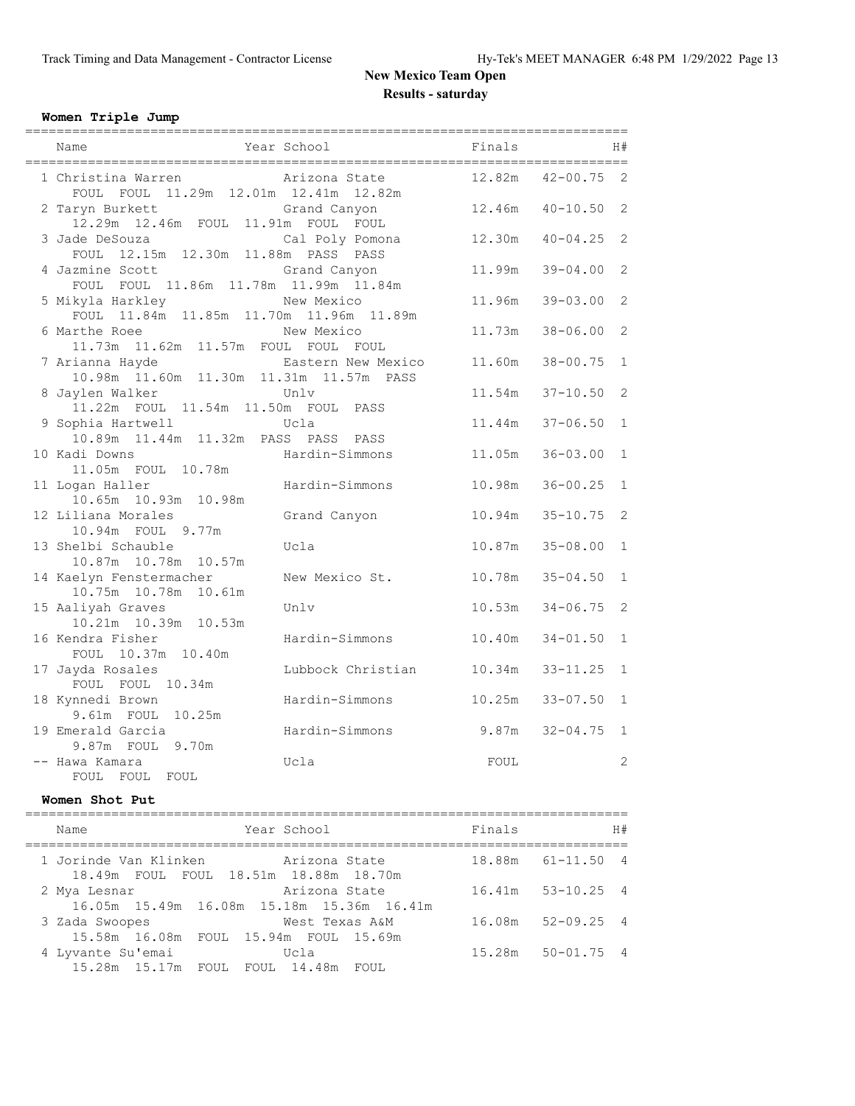#### **Women Triple Jump**

| Name                                                            | =======<br>Year School | Finals |                     | H#             |
|-----------------------------------------------------------------|------------------------|--------|---------------------|----------------|
| 1 Christina Warren<br>FOUL FOUL 11.29m 12.01m 12.41m 12.82m     | Arizona State          | 12.82m | $42 - 00.75$        | 2              |
| 2 Taryn Burkett<br>12.29m  12.46m  FOUL  11.91m  FOUL  FOUL     | Grand Canyon           |        | $12.46m$ $40-10.50$ | 2              |
| 3 Jade DeSouza<br>FOUL 12.15m 12.30m 11.88m PASS PASS           | Cal Poly Pomona        | 12.30m | $40 - 04.25$        | 2              |
| 4 Jazmine Scott<br>FOUL FOUL 11.86m 11.78m 11.99m 11.84m        | Grand Canyon           | 11.99m | $39 - 04.00$        | $\overline{c}$ |
| 5 Mikyla Harkley<br>FOUL 11.84m 11.85m 11.70m 11.96m 11.89m     | New Mexico             | 11.96m | $39 - 03.00$        | $\mathfrak{D}$ |
| 6 Marthe Roee<br>11.73m  11.62m  11.57m  FOUL  FOUL  FOUL       | New Mexico             | 11.73m | $38 - 06.00$        | $\overline{c}$ |
| 7 Arianna Hayde<br>10.98m  11.60m  11.30m  11.31m  11.57m  PASS | Eastern New Mexico     | 11.60m | $38 - 00.75$        | $\mathbf{1}$   |
| 8 Jaylen Walker<br>11.22m FOUL 11.54m 11.50m FOUL PASS          | Unlv                   | 11.54m | $37 - 10.50$        | $\overline{c}$ |
| 9 Sophia Hartwell<br>10.89m  11.44m  11.32m  PASS  PASS  PASS   | Ucla                   | 11.44m | $37 - 06.50$        | $\mathbf{1}$   |
| 10 Kadi Downs<br>11.05m  FOUL  10.78m                           | Hardin-Simmons         | 11.05m | $36 - 03.00$        | $\mathbf{1}$   |
| 11 Logan Haller<br>10.65m  10.93m  10.98m                       | Hardin-Simmons         | 10.98m | $36 - 00.25$        | $\mathbf{1}$   |
| 12 Liliana Morales<br>10.94m FOUL 9.77m                         | Grand Canyon           | 10.94m | $35 - 10.75$        | $\overline{2}$ |
| 13 Shelbi Schauble<br>10.87m  10.78m  10.57m                    | Ucla                   | 10.87m | $35 - 08.00$        | $\mathbf{1}$   |
| 14 Kaelyn Fenstermacher<br>10.75m  10.78m  10.61m               | New Mexico St.         | 10.78m | $35 - 04.50$        | $\mathbf{1}$   |
| 15 Aaliyah Graves<br>10.21m  10.39m  10.53m                     | Unlv                   | 10.53m | $34 - 06.75$        | 2              |
| 16 Kendra Fisher<br>FOUL 10.37m 10.40m                          | Hardin-Simmons         | 10.40m | $34 - 01.50$        | $\mathbf{1}$   |
| 17 Jayda Rosales<br>FOUL FOUL 10.34m                            | Lubbock Christian      | 10.34m | $33 - 11.25$        | $\mathbf{1}$   |
| 18 Kynnedi Brown<br>9.61m FOUL<br>10.25m                        | Hardin-Simmons         | 10.25m | $33 - 07.50$        | $\mathbf{1}$   |
| 19 Emerald Garcia<br>9.87m FOUL 9.70m                           | Hardin-Simmons         | 9.87m  | $32 - 04.75$        | $\mathbf{1}$   |
| -- Hawa Kamara<br>FOUL<br>FOUL<br>FOUL                          | Ucla                   | FOUL   |                     | 2              |

#### **Women Shot Put**

| Year School<br>Name                                                           |                | Finals | H#                    |
|-------------------------------------------------------------------------------|----------------|--------|-----------------------|
| 1 Jorinde Van Klinken Marizona State<br>18.49m FOUL FOUL 18.51m 18.88m 18.70m |                |        | 18.88m 61-11.50 4     |
| 2 Mya Lesnar<br>16.05m 15.49m 16.08m 15.18m 15.36m 16.41m                     | Arizona State  |        | $16.41m$ $53-10.25$ 4 |
| 3 Zada Swoopes<br>15.58m 16.08m FOUL 15.94m FOUL 15.69m                       | West Texas A&M |        | 16.08m 52-09.25 4     |
| 4 Lyvante Su'emai<br>15.28m 15.17m FOUL FOUL 14.48m FOUL                      | Ucla           |        | $15.28m$ $50-01.75$ 4 |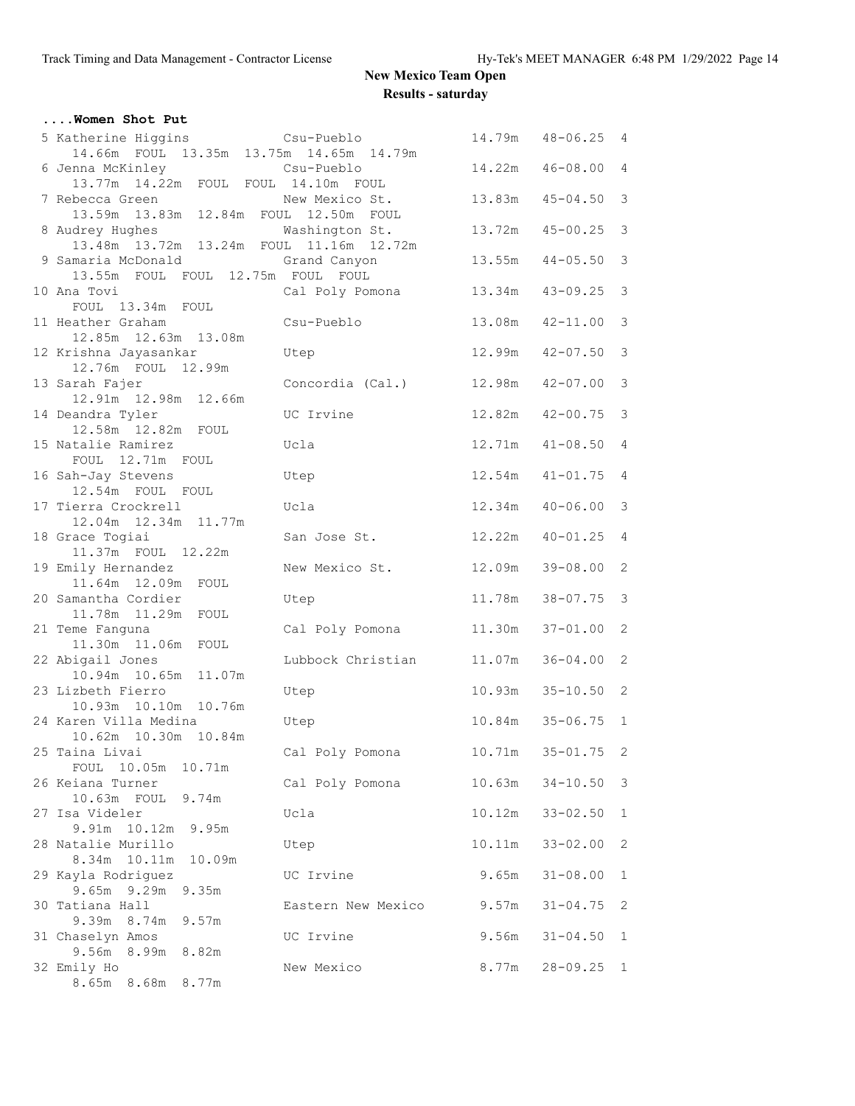| Women Shot Put                                                            |                         |        |                     |                         |
|---------------------------------------------------------------------------|-------------------------|--------|---------------------|-------------------------|
| 5 Katherine Higgins Csu-Pueblo<br>14.66m FOUL 13.35m 13.75m 14.65m 14.79m |                         |        | 14.79m  48-06.25  4 |                         |
| 6 Jenna McKinley<br>13.77m  14.22m  FOUL  FOUL  14.10m  FOUL              | Csu-Pueblo              | 14.22m | $46 - 08.00$        | 4                       |
| 7 Rebecca Green<br>13.59m 13.83m 12.84m FOUL 12.50m FOUL                  | New Mexico St.          | 13.83m | $45 - 04.50$        | $\mathcal{S}$           |
| 8 Audrey Hughes Mashington St.<br>13.48m 13.72m 13.24m FOUL 11.16m 12.72m |                         |        | $13.72m$ $45-00.25$ | 3                       |
| 9 Samaria McDonald<br>13.55m FOUL FOUL 12.75m FOUL FOUL                   | Grand Canyon            | 13.55m | $44 - 05.50$        | 3                       |
| 10 Ana Tovi<br>FOUL 13.34m FOUL                                           | Cal Poly Pomona         | 13.34m | $43 - 09.25$        | $\overline{\mathbf{3}}$ |
| 11 Heather Graham<br>12.85m  12.63m  13.08m                               | Csu-Pueblo              | 13.08m | $42 - 11.00$        | 3                       |
| 12 Krishna Jayasankar<br>12.76m FOUL 12.99m                               | Utep                    | 12.99m | $42 - 07.50$        | 3                       |
| 13 Sarah Fajer<br>12.91m  12.98m  12.66m                                  | Concordia (Cal.) 12.98m |        | $42 - 07.00$        | $\mathcal{S}$           |
| 14 Deandra Tyler<br>12.58m  12.82m  FOUL                                  | UC Irvine               |        | 12.82m  42-00.75    | $\mathcal{S}$           |
| 15 Natalie Ramirez<br>FOUL 12.71m FOUL                                    | Ucla                    | 12.71m | $41 - 08.50$        | $\overline{4}$          |
| 16 Sah-Jay Stevens<br>12.54m FOUL FOUL                                    | Utep                    | 12.54m | $41 - 01.75$        | $\overline{4}$          |
| 17 Tierra Crockrell<br>12.04m  12.34m  11.77m                             | Ucla                    | 12.34m | $40 - 06.00$        | 3                       |
| 18 Grace Togiai<br>11.37m FOUL 12.22m                                     | San Jose St.            | 12.22m | $40 - 01.25$        | $\overline{4}$          |
| 19 Emily Hernandez<br>11.64m 12.09m FOUL                                  | New Mexico St.          | 12.09m | $39 - 08.00$        | 2                       |
| 20 Samantha Cordier<br>11.78m  11.29m  FOUL                               | Utep                    | 11.78m | $38 - 07.75$        | $\mathcal{S}$           |
| 21 Teme Fanguna<br>11.30m  11.06m  FOUL                                   | Cal Poly Pomona         | 11.30m | $37 - 01.00$        | 2                       |
| 22 Abigail Jones<br>10.94m 10.65m 11.07m                                  | Lubbock Christian       | 11.07m | $36 - 04.00$ 2      |                         |
| 23 Lizbeth Fierro<br>10.93m  10.10m  10.76m                               | Utep                    | 10.93m | $35 - 10.50$ 2      |                         |
| 24 Karen Villa Medina<br>10.62m  10.30m  10.84m                           | Utep                    |        | 10.84m 35-06.75 1   |                         |
| 25 Taina Livai<br>FOUL 10.05m 10.71m                                      | Cal Poly Pomona         | 10.71m | $35 - 01.75$ 2      |                         |
| 26 Keiana Turner<br>10.63m FOUL 9.74m                                     | Cal Poly Pomona         | 10.63m | $34 - 10.50$        | $\mathcal{E}$           |
| 27 Isa Videler<br>9.91m 10.12m 9.95m                                      | Ucla                    | 10.12m | $33 - 02.50$        | $\mathbf{1}$            |
| 28 Natalie Murillo<br>8.34m 10.11m<br>10.09m                              | Utep                    | 10.11m | $33 - 02.00$        | 2                       |
| 29 Kayla Rodriguez<br>$9.65m$ $9.29m$<br>9.35m                            | UC Irvine               | 9.65m  | $31 - 08.00$        | $\mathbf{1}$            |
| 30 Tatiana Hall<br>9.39m 8.74m<br>9.57m                                   | Eastern New Mexico      | 9.57m  | $31 - 04.75$        | 2                       |
| 31 Chaselyn Amos<br>9.56m<br>8.99m 8.82m                                  | UC Irvine               | 9.56m  | $31 - 04.50$        | 1                       |
| 32 Emily Ho<br>8.65m 8.68m 8.77m                                          | New Mexico              | 8.77m  | $28 - 09.25$        | $\mathbf{1}$            |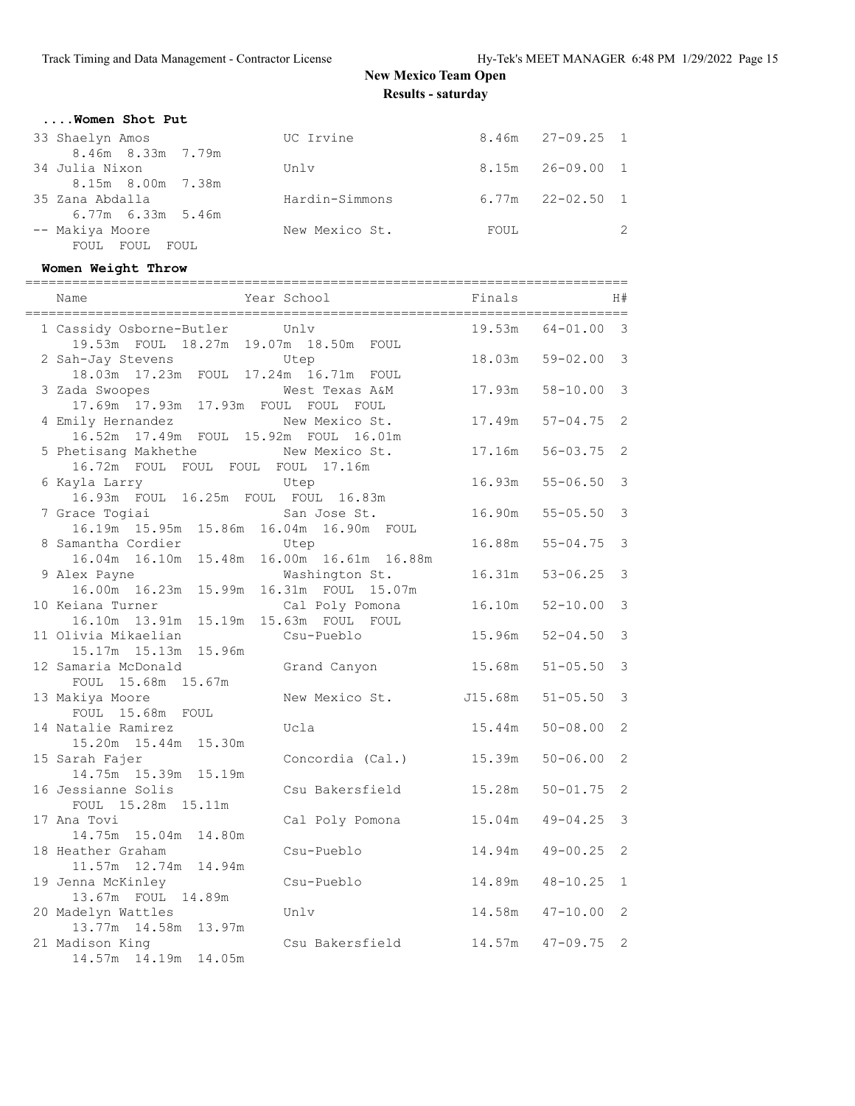| Women Shot Put          |                |      |                      |               |
|-------------------------|----------------|------|----------------------|---------------|
| 33 Shaelyn Amos         | UC Irvine      |      | $8.46m$ $27-09.25$ 1 |               |
| 8.46m 8.33m 7.79m       |                |      |                      |               |
| 34 Julia Nixon          | Unlv           |      | $8.15m$ $26-09.00$ 1 |               |
| 8.15m 8.00m 7.38m       |                |      |                      |               |
| 35 Zana Abdalla         | Hardin-Simmons |      | $6.77m$ $22-02.50$ 1 |               |
| $6.77m$ $6.33m$ $5.46m$ |                |      |                      |               |
| -- Makiya Moore         | New Mexico St. | FOUL |                      | $\mathcal{P}$ |
| FOUL FOUL FOUL          |                |      |                      |               |

### **Women Weight Throw**

| Name                                                              | Year School                                            | Finals           |                              | H#                               |
|-------------------------------------------------------------------|--------------------------------------------------------|------------------|------------------------------|----------------------------------|
| 1 Cassidy Osborne-Butler<br>19.53m FOUL 18.27m 19.07m 18.50m FOUL | Unlv                                                   | 19.53m           | $64 - 01.00$                 | 3                                |
| 2 Sah-Jay Stevens<br>18.03m  17.23m  FOUL  17.24m  16.71m  FOUL   | Utep                                                   | 18.03m           | $59 - 02.00$                 | 3                                |
| 3 Zada Swoopes<br>17.69m  17.93m  17.93m  FOUL  FOUL  FOUL        | West Texas A&M                                         | 17.93m           | $58 - 10.00$                 | 3                                |
| 4 Emily Hernandez<br>17.49m  FOUL  15.92m  FOUL<br>16.52m         | New Mexico St.<br>16.01m                               | 17.49m           | $57 - 04.75$                 | 2                                |
| 5 Phetisang Makhethe<br>16.72m FOUL FOUL FOUL FOUL 17.16m         | New Mexico St.                                         | 17.16m           | $56 - 03.75$                 | 2                                |
| 6 Kayla Larry<br>16.93m FOUL 16.25m FOUL FOUL 16.83m              | Utep                                                   | 16.93m           | $55 - 06.50$                 | 3                                |
| 7 Grace Togiai<br>16.19m  15.95m  15.86m  16.04m  16.90m  FOUL    | San Jose St.                                           | 16.90m           | $55 - 05.50$                 | 3                                |
| 8 Samantha Cordier                                                | Utep<br>16.04m  16.10m  15.48m  16.00m  16.61m  16.88m | 16.88m           | $55 - 04.75$                 | 3                                |
| 9 Alex Payne<br>16.00m  16.23m  15.99m  16.31m  FOUL  15.07m      | Washington St.                                         | 16.31m           | $53 - 06.25$                 | 3                                |
| 10 Keiana Turner<br>16.10m  13.91m  15.19m  15.63m  FOUL  FOUL    | Cal Poly Pomona                                        | 16.10m           | $52 - 10.00$                 | 3                                |
| 11 Olivia Mikaelian<br>15.17m  15.13m  15.96m                     | Csu-Pueblo                                             | 15.96m           | $52 - 04.50$                 | 3                                |
| 12 Samaria McDonald<br>FOUL 15.68m 15.67m                         | Grand Canyon                                           | 15.68m           | $51 - 05.50$                 | 3                                |
| 13 Makiya Moore<br>FOUL 15.68m FOUL                               | New Mexico St.                                         | J15.68m          | $51 - 05.50$                 | 3                                |
| 14 Natalie Ramirez<br>15.20m 15.44m 15.30m                        | Ucla                                                   | 15.44m           | $50 - 08.00$                 | 2                                |
| 15 Sarah Fajer<br>14.75m 15.39m 15.19m<br>16 Jessianne Solis      | Concordia (Cal.)<br>Csu Bakersfield                    | 15.39m<br>15.28m | $50 - 06.00$<br>$50 - 01.75$ | $\overline{c}$<br>$\overline{2}$ |
| FOUL 15.28m 15.11m<br>17 Ana Tovi                                 |                                                        | 15.04m           | $49 - 04.25$                 | 3                                |
| 14.75m 15.04m 14.80m<br>18 Heather Graham                         | Cal Poly Pomona<br>Csu-Pueblo                          | 14.94m           | $49 - 00.25$                 | $\overline{c}$                   |
| 11.57m 12.74m 14.94m<br>19 Jenna McKinley                         | Csu-Pueblo                                             | 14.89m           | $48 - 10.25$                 | $\mathbf{1}$                     |
| 13.67m FOUL 14.89m<br>20 Madelyn Wattles                          | Unlv                                                   | 14.58m           | $47 - 10.00$                 | 2                                |
| 13.77m  14.58m  13.97m<br>21 Madison King                         | Csu Bakersfield                                        | 14.57m           | $47 - 09.75$                 | $\overline{2}$                   |
| 14.57m  14.19m  14.05m                                            |                                                        |                  |                              |                                  |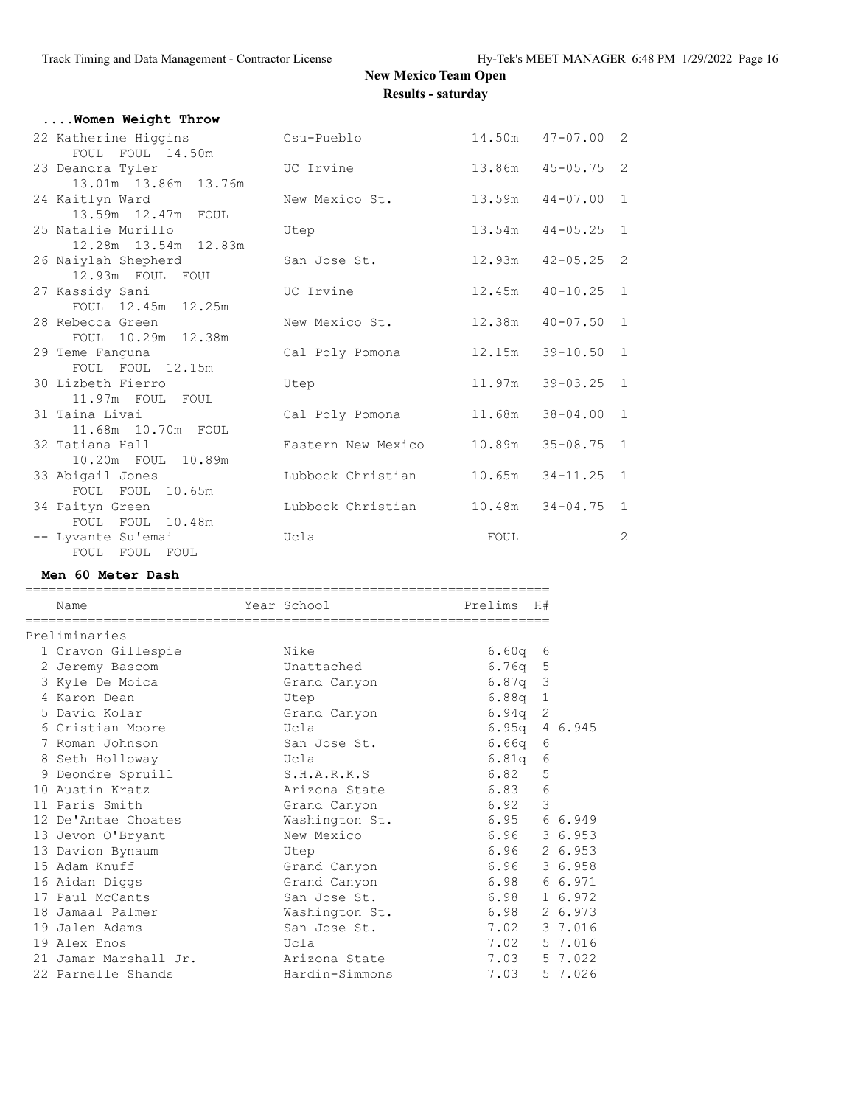| Women Weight Throw                         |                    |                     |                       |                |
|--------------------------------------------|--------------------|---------------------|-----------------------|----------------|
| 22 Katherine Higgins<br>FOUL FOUL 14.50m   | Csu-Pueblo         |                     | $14.50m$ $47-07.00$ 2 |                |
| 23 Deandra Tyler<br>13.01m 13.86m 13.76m   | UC Irvine          |                     | 13.86m 45-05.75 2     |                |
| 24 Kaitlyn Ward<br>13.59m  12.47m  FOUL    | New Mexico St.     |                     | $13.59m$ $44-07.00$   | 1              |
| 25 Natalie Murillo<br>12.28m 13.54m 12.83m | Utep               |                     | 13.54m  44-05.25  1   |                |
| 26 Naiylah Shepherd<br>12.93m FOUL FOUL    | San Jose St.       |                     | $12.93m$ $42-05.25$ 2 |                |
| 27 Kassidy Sani<br>FOUL 12.45m 12.25m      | UC Irvine          | 12.45m              | $40 - 10.25$ 1        |                |
| 28 Rebecca Green<br>FOUL 10.29m 12.38m     | New Mexico St.     | 12.38m              | $40 - 07.50$ 1        |                |
| 29 Teme Fanquna<br>FOUL FOUL 12.15m        | Cal Poly Pomona    | 12.15m              | $39 - 10.50$          | $\overline{1}$ |
| 30 Lizbeth Fierro<br>11.97m FOUL FOUL      | Utep               | 11.97m              | $39 - 03.25$          | $\overline{1}$ |
| 31 Taina Livai<br>11.68m 10.70m FOUL       | Cal Poly Pomona    | 11.68m              | $38 - 04.00$ 1        |                |
| 32 Tatiana Hall<br>10.20m FOUL 10.89m      | Eastern New Mexico | 10.89m              | $35 - 08.75$ 1        |                |
| 33 Abigail Jones<br>FOUL FOUL 10.65m       | Lubbock Christian  |                     | $10.65m$ $34-11.25$ 1 |                |
| 34 Paityn Green<br>FOUL FOUL 10.48m        | Lubbock Christian  | $10.48m$ $34-04.75$ |                       | 1              |
| -- Lyvante Su'emai<br>FOUL FOUL FOUL       | Ucla               | FOUL                |                       | $\overline{2}$ |

#### **Men 60 Meter Dash**

=================================================================== Name Tear School Prelims H# =================================================================== Preliminaries 1 Cravon Gillespie Nike 6.60q 6 2 Jeremy Bascom Unattached 6.76q 5 3 Kyle De Moica Grand Canyon 6.87q 3 4 Karon Dean Utep 6.88q 1 5 David Kolar Grand Canyon 6.94q 2 6 Cristian Moore Ucla 6.95q 4 6.945 7 Roman Johnson San Jose St. 6.66q 6 8 Seth Holloway Ucla 6.81q 6 9 Deondre Spruill S.H.A.R.K.S 6.82 5 10 Austin Kratz Arizona State 6.83 6 11 Paris Smith Grand Canyon 6.92 3 12 De'Antae Choates Washington St. 6.95 6 6.949 13 Jevon O'Bryant New Mexico 6.96 3 6.953 13 Davion Bynaum Utep 6.96 2 6.953 15 Adam Knuff Grand Canyon 6.96 3 6.958 16 Aidan Diggs Grand Canyon 6.98 6 6.971 17 Paul McCants San Jose St. 6.98 1 6.972 18 Jamaal Palmer Washington St. 6.98 2 6.973 19 Jalen Adams San Jose St. 7.02 3 7.016 19 Alex Enos Ucla 7.02 5 7.016 21 Jamar Marshall Jr. Arizona State 7.03 5 7.022 22 Parnelle Shands Hardin-Simmons 7.03 5 7.026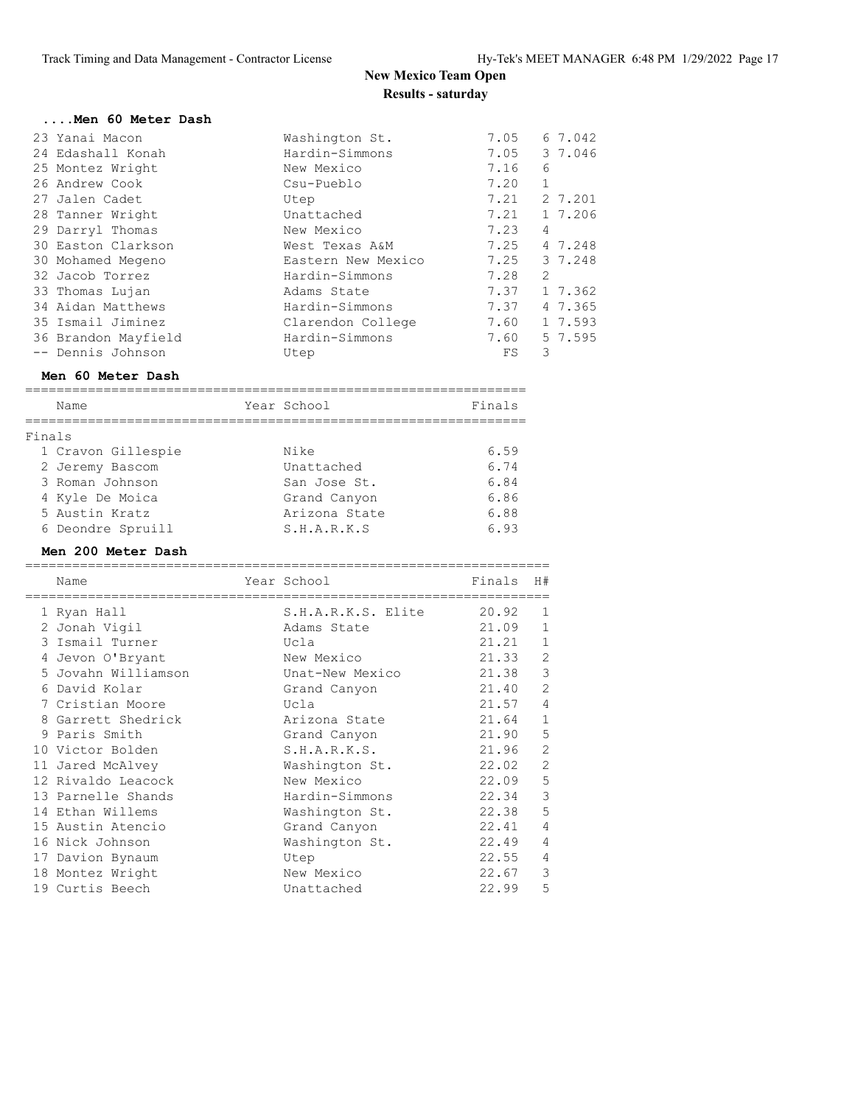| Men 60 Meter Dash   |                    |      |                |
|---------------------|--------------------|------|----------------|
| 23 Yanai Macon      | Washington St.     | 7.05 | 6 7.042        |
| 24 Edashall Konah   | Hardin-Simmons     | 7.05 | 3 7.046        |
| 25 Montez Wright    | New Mexico         | 7.16 | 6              |
| 26 Andrew Cook      | Csu-Pueblo         | 7.20 |                |
| 27 Jalen Cadet      | Utep               | 7.21 | 2 7.201        |
| 28 Tanner Wright    | Unattached         | 7.21 | 1 7.206        |
| 29 Darryl Thomas    | New Mexico         | 7.23 | 4              |
| 30 Easton Clarkson  | West Texas A&M     | 7.25 | 4 7.248        |
| 30 Mohamed Megeno   | Eastern New Mexico | 7.25 | 3 7.248        |
| 32 Jacob Torrez     | Hardin-Simmons     | 7.28 | $\overline{2}$ |
| 33 Thomas Lujan     | Adams State        | 7.37 | 1 7.362        |
| 34 Aidan Matthews   | Hardin-Simmons     | 7.37 | 4 7.365        |
| 35 Ismail Jiminez   | Clarendon College  | 7.60 | 1 7.593        |
| 36 Brandon Mayfield | Hardin-Simmons     | 7.60 | 5 7.595        |
| -- Dennis Johnson   | Utep               | FS   | 3              |

### **Men 60 Meter Dash**

|        | Name               | Year School   | Finals |
|--------|--------------------|---------------|--------|
| Finals |                    |               |        |
|        | 1 Cravon Gillespie | Nike          | 6.59   |
|        | 2 Jeremy Bascom    | Unattached    | 6.74   |
|        | 3 Roman Johnson    | San Jose St.  | 6.84   |
|        | 4 Kyle De Moica    | Grand Canyon  | 6.86   |
|        | 5 Austin Kratz     | Arizona State | 6.88   |
|        | 6 Deondre Spruill  | S.H.A.R.K.S   | 6.93   |

### **Men 200 Meter Dash**

| Name                |                    | Finals      | H#             |
|---------------------|--------------------|-------------|----------------|
| 1 Ryan Hall         | S.H.A.R.K.S. Elite | 20.92       | 1              |
| 2 Jonah Vigil       | Adams State        | 21.09       | $\mathbf{1}$   |
| 3 Ismail Turner     | Ucla               | 21.21       | $\mathbf{1}$   |
| 4 Jevon O'Bryant    | New Mexico         | 21.33       | $\overline{2}$ |
| 5 Jovahn Williamson | Unat-New Mexico    | 21.38       | 3              |
| 6 David Kolar       | Grand Canyon       | 21.40       | $\overline{2}$ |
| 7 Cristian Moore    | Ucla               | 21.57       | $\overline{4}$ |
| 8 Garrett Shedrick  | Arizona State      | 21.64       | 1              |
| 9 Paris Smith       | Grand Canyon       | 21.90       | 5              |
| 10 Victor Bolden    | S.H.A.R.K.S.       | 21.96       | $\overline{2}$ |
| 11 Jared McAlvey    | Washington St.     | 22.02       | $\overline{2}$ |
| 12 Rivaldo Leacock  | New Mexico         | 22.09       | 5              |
| 13 Parnelle Shands  | Hardin-Simmons     | 22.34       | 3              |
| 14 Ethan Willems    | Washington St.     | 22.38       | 5              |
| 15 Austin Atencio   | Grand Canyon       | 22.41       | 4              |
| 16 Nick Johnson     | Washington St.     | 22.49       | $\overline{4}$ |
| 17 Davion Bynaum    | Utep               | 22.55       | 4              |
| 18 Montez Wright    | New Mexico         | 22.67       | 3              |
| 19 Curtis Beech     | Unattached         | 22.99       | 5              |
|                     |                    | Year School |                |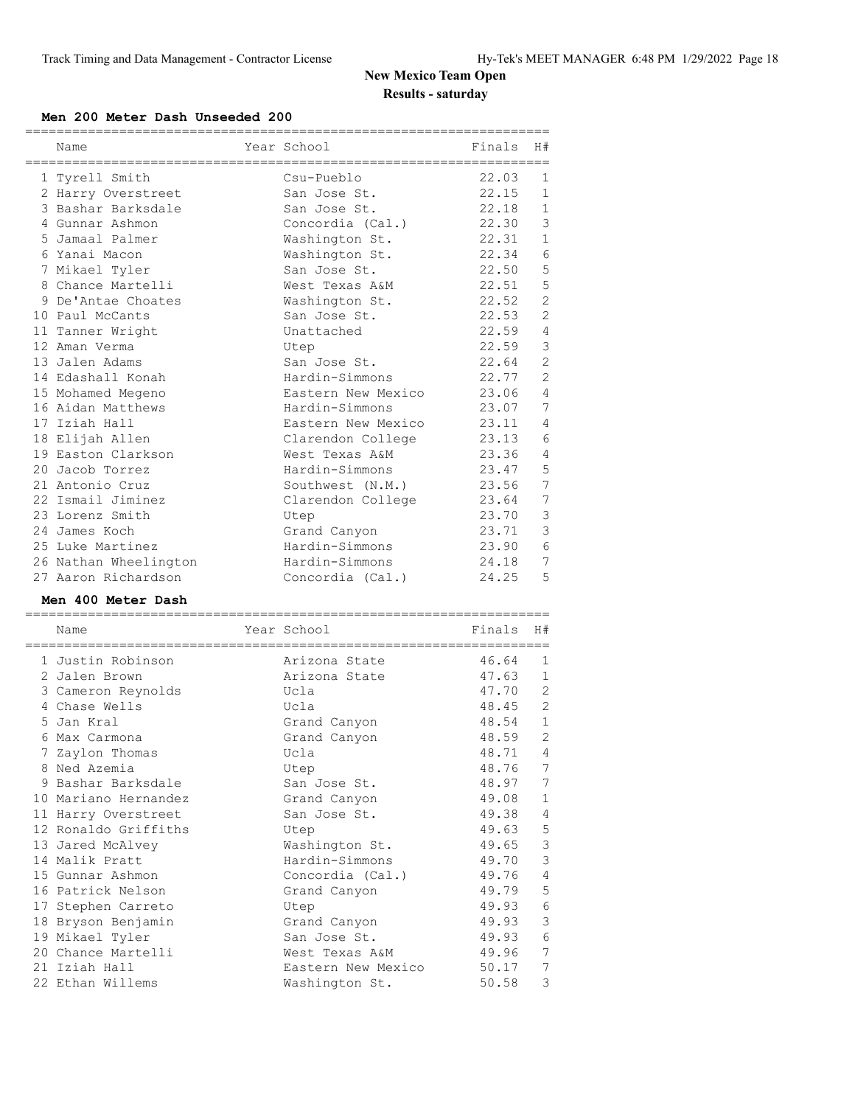#### **Men 200 Meter Dash Unseeded 200**

| Name                              | Year School                          | Finals         | H#                                |
|-----------------------------------|--------------------------------------|----------------|-----------------------------------|
|                                   |                                      |                |                                   |
| 1 Tyrell Smith                    | Csu-Pueblo                           | 22.03          | 1                                 |
| 2 Harry Overstreet                | San Jose St.                         | 22.15          | $\mathbf{1}$                      |
| 3 Bashar Barksdale                | San Jose St.                         | 22.18          | $\mathbf{1}$                      |
| 4 Gunnar Ashmon                   | Concordia (Cal.)                     | 22.30          | $\mathcal{S}$                     |
| 5 Jamaal Palmer                   | Washington St.                       | 22.31          | $\mathbf{1}$                      |
| 6 Yanai Macon                     | Washington St.                       | 22.34          | $\epsilon$                        |
| 7 Mikael Tyler                    | San Jose St.                         | 22.50          | 5                                 |
| 8 Chance Martelli                 | West Texas A&M                       | 22.51          | 5                                 |
| 9 De'Antae Choates                | Washington St.                       | 22.52          | $\overline{2}$                    |
| 10 Paul McCants                   | San Jose St.                         | 22.53          | $\mathbf{2}$                      |
| 11 Tanner Wright                  | Unattached                           | 22.59          | 4                                 |
| 12 Aman Verma                     | Utep                                 | 22.59          | $\mathcal{S}$                     |
| 13 Jalen Adams                    | San Jose St.                         | 22.64          | $\overline{2}$                    |
| 14 Edashall Konah                 | Hardin-Simmons                       | 22.77          | $\overline{2}$                    |
| 15 Mohamed Megeno                 | Eastern New Mexico                   | 23.06          | $\overline{4}$                    |
| 16 Aidan Matthews                 | Hardin-Simmons                       | 23.07          | 7                                 |
| 17 Iziah Hall                     | Eastern New Mexico                   | 23.11          | 4                                 |
| 18 Elijah Allen                   | Clarendon College                    | 23.13          | 6                                 |
| 19 Easton Clarkson                | West Texas A&M                       | 23.36          | 4                                 |
| 20 Jacob Torrez                   | Hardin-Simmons                       | 23.47          | 5                                 |
| 21 Antonio Cruz                   | Southwest (N.M.)                     | 23.56          | $\overline{7}$                    |
| 22 Ismail Jiminez                 | Clarendon College                    | 23.64          | $7\phantom{.0}$                   |
| 23 Lorenz Smith                   | Utep                                 | 23.70          | $\mathsf 3$                       |
| 24 James Koch                     | Grand Canyon                         | 23.71          | $\mathcal{E}$                     |
| 25 Luke Martinez                  | Hardin-Simmons                       | 23.90          | 6                                 |
| 26 Nathan Wheelington             |                                      | 24.18          | 7                                 |
|                                   |                                      |                |                                   |
|                                   | Hardin-Simmons                       |                |                                   |
| 27 Aaron Richardson               | Concordia (Cal.)                     | 24.25          | 5                                 |
| Men 400 Meter Dash                |                                      |                |                                   |
| ___________________________       |                                      |                |                                   |
| Name                              | Year School                          | Finals         | H#                                |
|                                   |                                      |                |                                   |
| 1 Justin Robinson                 | Arizona State                        | 46.64          | 1                                 |
| 2 Jalen Brown                     | Arizona State                        | 47.63          | $\mathbf{1}$                      |
| 3 Cameron Reynolds                | Ucla                                 | 47.70          | 2                                 |
| 4 Chase Wells                     | Ucla                                 | 48.45          | 2                                 |
| 5 Jan Kral                        | Grand Canyon                         | 48.54          | $\mathbf{1}$                      |
| 6 Max Carmona                     | Grand Canyon                         | 48.59          | 2                                 |
| 7 Zaylon Thomas                   | Ucla                                 | 48.71          | 4                                 |
| 8 Ned Azemia                      | Utep                                 | 48.76 7        |                                   |
| 9 Bashar Barksdale                | San Jose St.                         | 48.97          | $7\phantom{.0}$                   |
| 10 Mariano Hernandez              | Grand Canyon                         | 49.08          | $\mathbf{1}$                      |
| 11 Harry Overstreet               | San Jose St.                         | 49.38          | 4                                 |
| 12 Ronaldo Griffiths              | Utep                                 | 49.63          | 5                                 |
| 13 Jared McAlvey                  | Washington St.                       | 49.65          | $\mathsf 3$                       |
| 14 Malik Pratt                    | Hardin-Simmons                       | 49.70          | $\mathsf 3$                       |
| 15 Gunnar Ashmon                  | Concordia (Cal.)                     | 49.76          | $\overline{4}$                    |
| 16 Patrick Nelson                 | Grand Canyon                         | 49.79          | $\mathsf S$                       |
| 17 Stephen Carreto                | Utep                                 | 49.93          | $\,$ $\,$ $\,$                    |
| 18 Bryson Benjamin                | Grand Canyon                         | 49.93          | $\mathsf 3$                       |
| 19 Mikael Tyler                   | San Jose St.                         | 49.93          | $\epsilon$                        |
| 20 Chance Martelli                | West Texas A&M                       | 49.96          | $\boldsymbol{7}$                  |
| 21 Iziah Hall<br>22 Ethan Willems | Eastern New Mexico<br>Washington St. | 50.17<br>50.58 | $7\phantom{.0}$<br>$\mathfrak{Z}$ |

===================================================================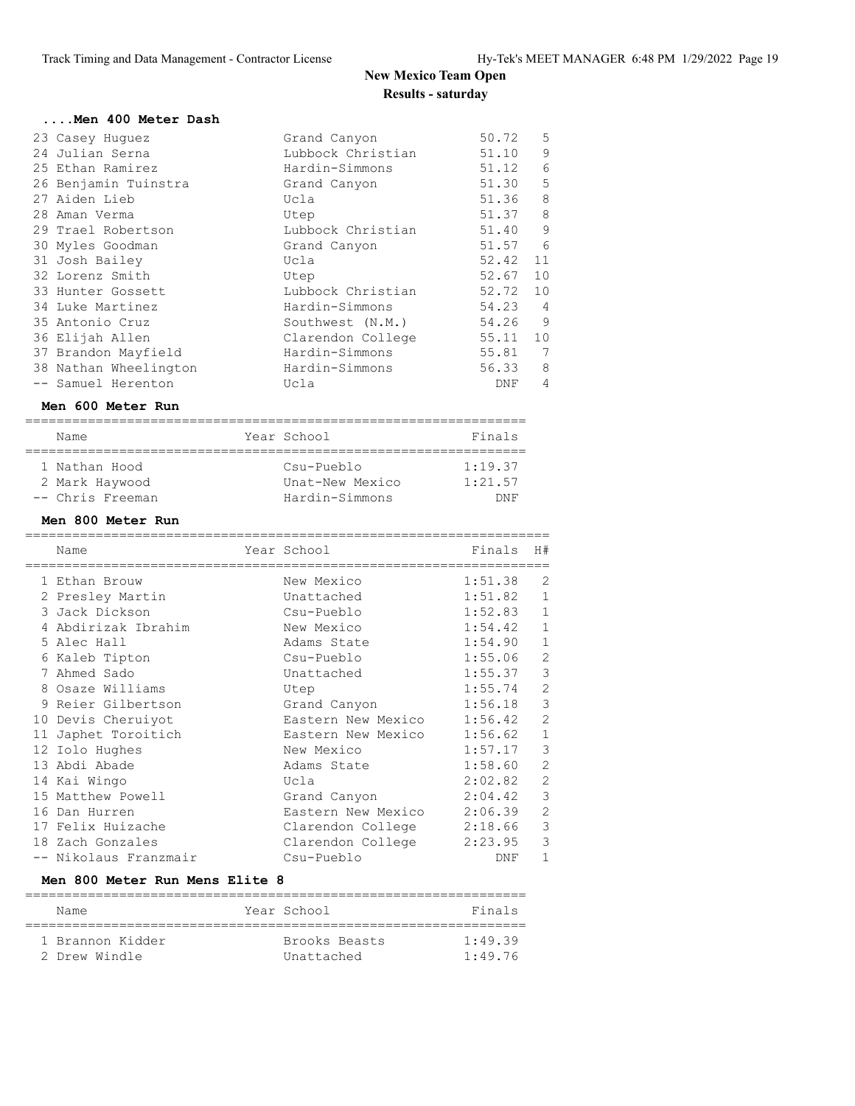| Men 400 Meter Dash                        |                                  |                      |                |
|-------------------------------------------|----------------------------------|----------------------|----------------|
| 23 Casey Huguez                           | Grand Canyon                     | 50.72                | 5              |
| 24 Julian Serna                           | Lubbock Christian                | 51.10                | 9              |
| 25 Ethan Ramirez                          | Hardin-Simmons                   | 51.12                | 6              |
| 26 Benjamin Tuinstra                      | Grand Canyon                     | 51.30                | 5              |
| 27 Aiden Lieb                             | Ucla                             | 51.36                | 8              |
| 28 Aman Verma                             | Utep                             | 51.37                | 8              |
| 29 Trael Robertson                        | Lubbock Christian                | 51.40                | 9              |
| 30 Myles Goodman                          | Grand Canyon                     | 51.57                | 6              |
| 31 Josh Bailey                            | Ucla                             | 52.42                | 11             |
| 32 Lorenz Smith                           | Utep                             | 52.67                | 10             |
| 33 Hunter Gossett                         | Lubbock Christian                | 52.72                | 10             |
| 34 Luke Martinez                          | Hardin-Simmons                   | 54.23                | 4              |
| 35 Antonio Cruz                           | Southwest (N.M.)                 | 54.26                | 9              |
| 36 Elijah Allen                           | Clarendon College                | 55.11                | 10             |
| 37 Brandon Mayfield                       | Hardin-Simmons                   | 55.81                | 7              |
| 38 Nathan Wheelington                     | Hardin-Simmons                   | 56.33                | 8              |
| -- Samuel Herenton                        | Ucla                             | DNF                  | 4              |
| Men 600 Meter Run                         |                                  |                      |                |
| Name                                      | Year School                      | Finals               |                |
|                                           |                                  |                      |                |
| 1 Nathan Hood                             | Csu-Pueblo                       | 1:19.37              |                |
| 2 Mark Haywood                            | Unat-New Mexico                  | 1:21.57              |                |
|                                           |                                  |                      |                |
| -- Chris Freeman                          | Hardin-Simmons                   | DNF                  |                |
| Men 800 Meter Run                         |                                  |                      |                |
| -=================================        |                                  |                      |                |
| Name                                      | Year School                      | Finals               | H#             |
| 1 Ethan Brouw                             | New Mexico                       | 1:51.38              | 2              |
|                                           | Unattached                       | 1:51.82              | $\mathbf{1}$   |
| 2 Presley Martin<br>3 Jack Dickson        | Csu-Pueblo                       | 1:52.83              | $\mathbf{1}$   |
| 4 Abdirizak Ibrahim                       | New Mexico                       | 1:54.42              | $\mathbf{1}$   |
| 5 Alec Hall                               | Adams State                      | 1:54.90              | 1              |
|                                           | Csu-Pueblo                       | 1:55.06              | 2              |
| 6 Kaleb Tipton<br>7 Ahmed Sado            | Unattached                       | 1:55.37              | 3              |
| 8 Osaze Williams                          | Utep                             | 1:55.74              | $\overline{2}$ |
| 9 Reier Gilbertson                        | Grand Canyon                     | 1:56.18              | 3              |
| 10 Devis Cheruiyot                        | Eastern New Mexico               | 1:56.42              | 2              |
|                                           |                                  |                      |                |
| 11 Japhet Toroitich<br>12 Iolo Hughes     | Eastern New Mexico<br>New Mexico | 1:56.62 1<br>1:57.17 | 3              |
| 13 Abdi Abade                             | Adams State                      | 1:58.60              | $\mathbf{2}$   |
| 14 Kai Wingo                              | Ucla                             | 2:02.82              | $\overline{2}$ |
| 15 Matthew Powell                         | Grand Canyon                     | 2:04.42              | 3              |
| 16 Dan Hurren                             | Eastern New Mexico               | 2:06.39              | $\mathbf{2}$   |
| 17 Felix Huizache                         | Clarendon College                | 2:18.66              | 3              |
| 18 Zach Gonzales<br>-- Nikolaus Franzmair | Clarendon College                | 2:23.95              | 3              |

#### **Men 800 Meter Run Mens Elite 8**

| Name             | Year School   | Finals          |
|------------------|---------------|-----------------|
| 1 Brannon Kidder | Brooks Beasts | $1 \cdot 49$ 39 |
| 2 Drew Windle    | Unattached    | 1:49.76         |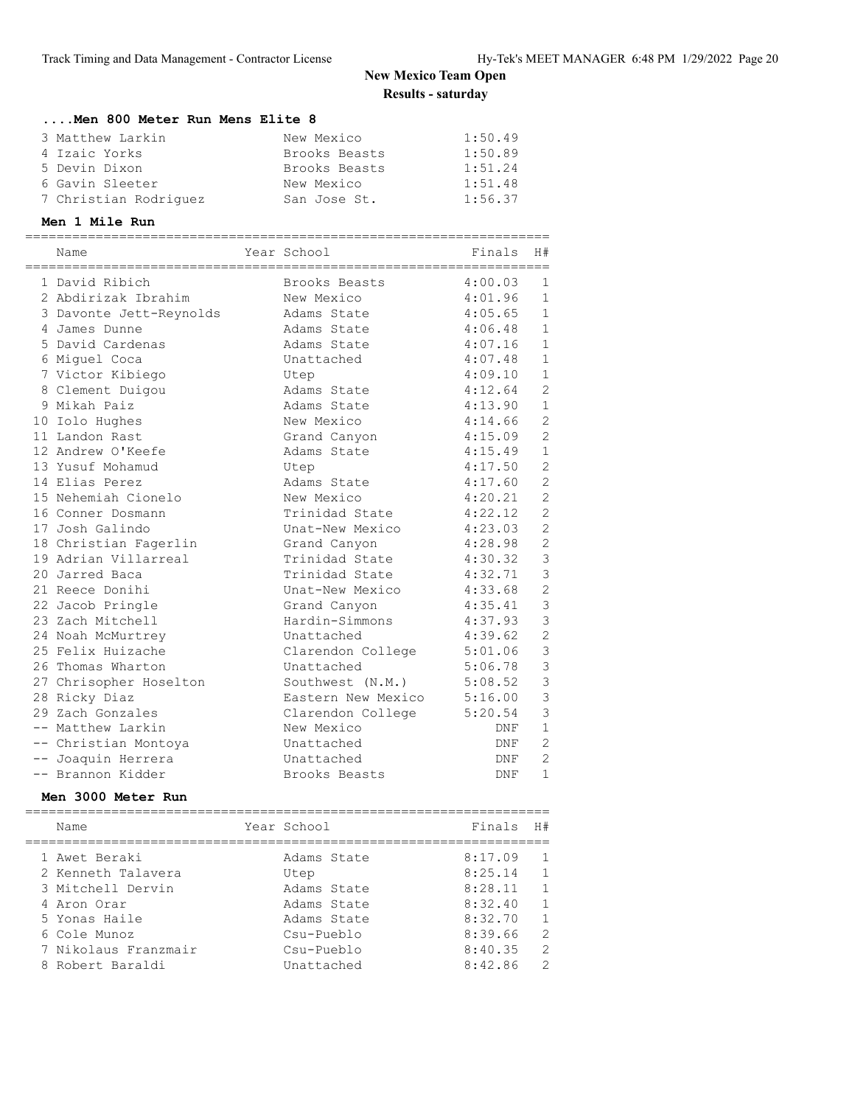### **....Men 800 Meter Run Mens Elite 8**

| 3 Matthew Larkin      | New Mexico    | 1:50.49 |
|-----------------------|---------------|---------|
| 4 Izaic Yorks         | Brooks Beasts | 1:50.89 |
| 5 Devin Dixon         | Brooks Beasts | 1:51.24 |
| 6 Gavin Sleeter       | New Mexico    | 1:51.48 |
| 7 Christian Rodriguez | San Jose St.  | 1:56.37 |

#### **Men 1 Mile Run**

| Name                    | Year School        | -------------------<br>Finals | H#             |
|-------------------------|--------------------|-------------------------------|----------------|
| 1 David Ribich          | Brooks Beasts      | 4:00.03                       | $\mathbf{1}$   |
| 2 Abdirizak Ibrahim     | New Mexico         | 4:01.96                       | $\mathbf{1}$   |
| 3 Davonte Jett-Reynolds | Adams State        | 4:05.65                       | $\mathbf{1}$   |
| 4 James Dunne           | Adams State        | 4:06.48                       | $\mathbf{1}$   |
| 5 David Cardenas        | Adams State        | 4:07.16                       | $\mathbf{1}$   |
| 6 Miquel Coca           | Unattached         | 4:07.48                       | $\mathbf{1}$   |
| 7 Victor Kibiego        | Utep               | 4:09.10                       | $\mathbf{1}$   |
| 8 Clement Duigou        | Adams State        | 4:12.64                       | $\overline{2}$ |
| 9 Mikah Paiz            | Adams State        | 4:13.90                       | $\mathbf{1}$   |
| 10 Iolo Hughes          | New Mexico         | 4:14.66                       | $\overline{c}$ |
| 11 Landon Rast          | Grand Canyon       | 4:15.09                       | $\overline{c}$ |
| 12 Andrew O'Keefe       | Adams State        | 4:15.49                       | $\mathbf{1}$   |
| 13 Yusuf Mohamud        | Utep               | 4:17.50                       | $\overline{c}$ |
| 14 Elias Perez          | Adams State        | 4:17.60                       | $\overline{2}$ |
| 15 Nehemiah Cionelo     | New Mexico         | 4:20.21                       | $\overline{c}$ |
| 16 Conner Dosmann       | Trinidad State     | 4:22.12                       | $\overline{c}$ |
| 17 Josh Galindo         | Unat-New Mexico    | 4:23.03                       | $\overline{c}$ |
| 18 Christian Fagerlin   | Grand Canyon       | 4:28.98                       | $\overline{2}$ |
| 19 Adrian Villarreal    | Trinidad State     | 4:30.32                       | 3              |
| 20 Jarred Baca          | Trinidad State     | 4:32.71                       | $\overline{3}$ |
| 21 Reece Donihi         | Unat-New Mexico    | 4:33.68                       | $\overline{c}$ |
| 22 Jacob Pringle        | Grand Canyon       | 4:35.41                       | $\overline{3}$ |
| 23 Zach Mitchell        | Hardin-Simmons     | 4:37.93                       | $\overline{3}$ |
| 24 Noah McMurtrey       | Unattached         | 4:39.62                       | $\overline{c}$ |
| 25 Felix Huizache       | Clarendon College  | 5:01.06                       | $\mathfrak{Z}$ |
| 26 Thomas Wharton       | Unattached         | 5:06.78                       | $\mathfrak{Z}$ |
| 27 Chrisopher Hoselton  | Southwest (N.M.)   | 5:08.52                       | $\mathbf{3}$   |
| 28 Ricky Diaz           | Eastern New Mexico | 5:16.00                       | $\mathbf{3}$   |
| 29 Zach Gonzales        | Clarendon College  | 5:20.54                       | 3              |
| -- Matthew Larkin       | New Mexico         | DNF                           | $\mathbf{1}$   |
| -- Christian Montoya    | Unattached         | DNF                           | $\overline{2}$ |
| -- Joaquin Herrera      | Unattached         | DNF                           | $\overline{2}$ |
| -- Brannon Kidder       | Brooks Beasts      | DNF                           | $\mathbf{1}$   |

#### **Men 3000 Meter Run**

| Name                 | Year School | Finals  | H#             |
|----------------------|-------------|---------|----------------|
| 1 Awet Beraki        | Adams State | 8:17.09 | $\overline{1}$ |
| 2 Kenneth Talavera   | Utep        | 8:25.14 | $\overline{1}$ |
| 3 Mitchell Dervin    | Adams State | 8:28.11 | $\mathbf{1}$   |
| 4 Aron Orar          | Adams State | 8:32.40 | $\mathbf{1}$   |
| 5 Yonas Haile        | Adams State | 8:32.70 | $\overline{1}$ |
| 6 Cole Munoz         | Csu-Pueblo  | 8:39.66 | 2              |
| 7 Nikolaus Franzmair | Csu-Pueblo  | 8:40.35 | $\mathcal{L}$  |
| 8 Robert Baraldi     | Unattached  | 8:42.86 | $\mathcal{L}$  |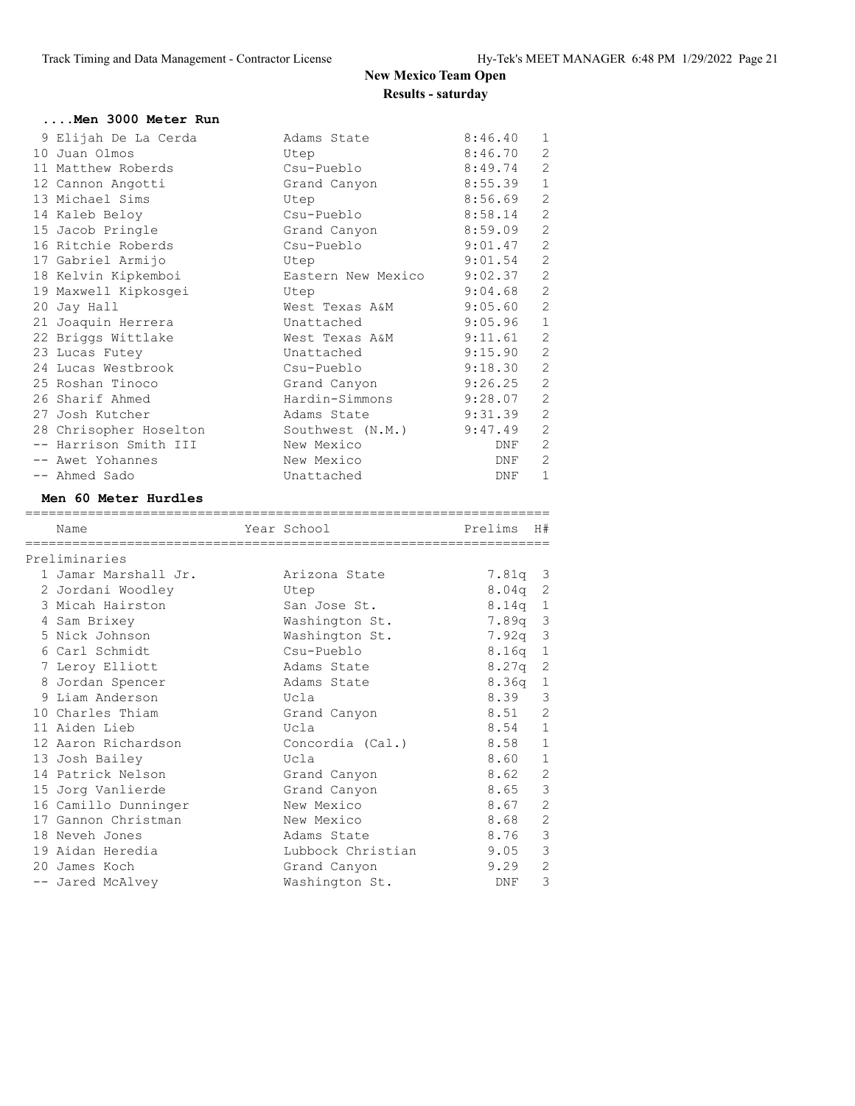| Men 3000 Meter Run                |                                |             |                   |
|-----------------------------------|--------------------------------|-------------|-------------------|
| 9 Elijah De La Cerda              | Adams State                    | 8:46.40     | 1                 |
| 10 Juan Olmos                     | Utep                           | 8:46.70     | $\overline{c}$    |
| 11 Matthew Roberds                | Csu-Pueblo                     | 8:49.74     | $\overline{2}$    |
| 12 Cannon Angotti                 | Grand Canyon                   | 8:55.39     | $\mathbf{1}$      |
| 13 Michael Sims                   | Utep                           | 8:56.69     | $\overline{2}$    |
| 14 Kaleb Beloy                    | Csu-Pueblo                     | 8:58.14     | $\overline{2}$    |
| 15 Jacob Pringle                  | Grand Canyon                   | 8:59.09     | $\mathbf{2}$      |
| 16 Ritchie Roberds                | Csu-Pueblo                     | 9:01.47     | $\overline{c}$    |
| 17 Gabriel Armijo                 | Utep                           | 9:01.54     | $\overline{c}$    |
| 18 Kelvin Kipkemboi               | Eastern New Mexico             | 9:02.37     | $\mathbf{2}$      |
| 19 Maxwell Kipkosgei              | Utep                           | 9:04.68     | $\overline{2}$    |
| 20 Jay Hall                       | West Texas A&M                 | 9:05.60     | $\overline{2}$    |
| 21 Joaquin Herrera                | Unattached                     | 9:05.96     | 1                 |
| 22 Briggs Wittlake                | West Texas A&M                 | 9:11.61     | $\overline{2}$    |
| 23 Lucas Futey                    | Unattached                     | 9:15.90     | $\overline{c}$    |
| 24 Lucas Westbrook                | Csu-Pueblo                     | 9:18.30     | $\mathbf{2}$      |
| 25 Roshan Tinoco                  | Grand Canyon                   | 9:26.25     | $\mathbf{2}$      |
| 26 Sharif Ahmed                   | Hardin-Simmons                 | 9:28.07     | $\overline{2}$    |
| 27 Josh Kutcher                   | Adams State                    | 9:31.39     | $\mathbf{2}$      |
| 28 Chrisopher Hoselton            | Southwest (N.M.)               | 9:47.49     | $\overline{c}$    |
| -- Harrison Smith III             | New Mexico                     | DNF         | $\overline{2}$    |
| -- Awet Yohannes                  | New Mexico                     | DNF         | $\mathbf{2}$      |
| -- Ahmed Sado                     | Unattached                     | DNF         | $\mathbf{1}$      |
|                                   |                                |             |                   |
|                                   |                                |             |                   |
| Men 60 Meter Hurdles              |                                |             |                   |
| Name                              | Year School                    | Prelims     | H#                |
|                                   |                                |             |                   |
| Preliminaries                     |                                |             |                   |
| 1 Jamar Marshall Jr.              | Arizona State                  | 7.81q       | 3                 |
| 2 Jordani Woodley                 | Utep                           | 8.04q       | 2                 |
| 3 Micah Hairston                  | San Jose St.                   | 8.14q       | $\mathbf{1}$      |
| 4 Sam Brixey                      | Washington St.                 | 7.89q       | $\mathsf 3$       |
| 5 Nick Johnson                    | Washington St.                 | 7.92q       | 3                 |
| 6 Carl Schmidt                    | Csu-Pueblo                     | 8.16q       | $\mathbf 1$       |
| 7 Leroy Elliott                   | Adams State                    | 8.27q       | 2                 |
| 8 Jordan Spencer                  | Adams State                    | 8.36q       | 1                 |
| 9 Liam Anderson                   | Ucla                           | 8.39        | 3                 |
| 10 Charles Thiam                  | Grand Canyon                   | 8.51        | $\mathbf{2}$      |
| 11 Aiden Lieb                     | Ucla                           | 8.54        | $\mathbf 1$       |
| 12 Aaron Richardson               | Concordia (Cal.)               | 8.58        | 1                 |
| 13 Josh Bailey                    | Ucla                           | 8.60        | 1                 |
| 14 Patrick Nelson                 | Grand Canyon                   | 8.62        | $\mathbf{2}$      |
| 15 Jorg Vanlierde                 | Grand Canyon                   | 8.65        | $\mathsf 3$       |
| 16 Camillo Dunninger              | New Mexico                     | 8.67        | $\mathbf{2}$      |
| 17 Gannon Christman               | New Mexico                     | 8.68        | $\mathbf{2}$      |
| 18 Neveh Jones                    | Adams State                    | 8.76        | $\mathsf 3$       |
| 19 Aidan Heredia                  | Lubbock Christian              | 9.05        | 3                 |
| 20 James Koch<br>-- Jared McAlvey | Grand Canyon<br>Washington St. | 9.29<br>DNF | $\mathbf{2}$<br>3 |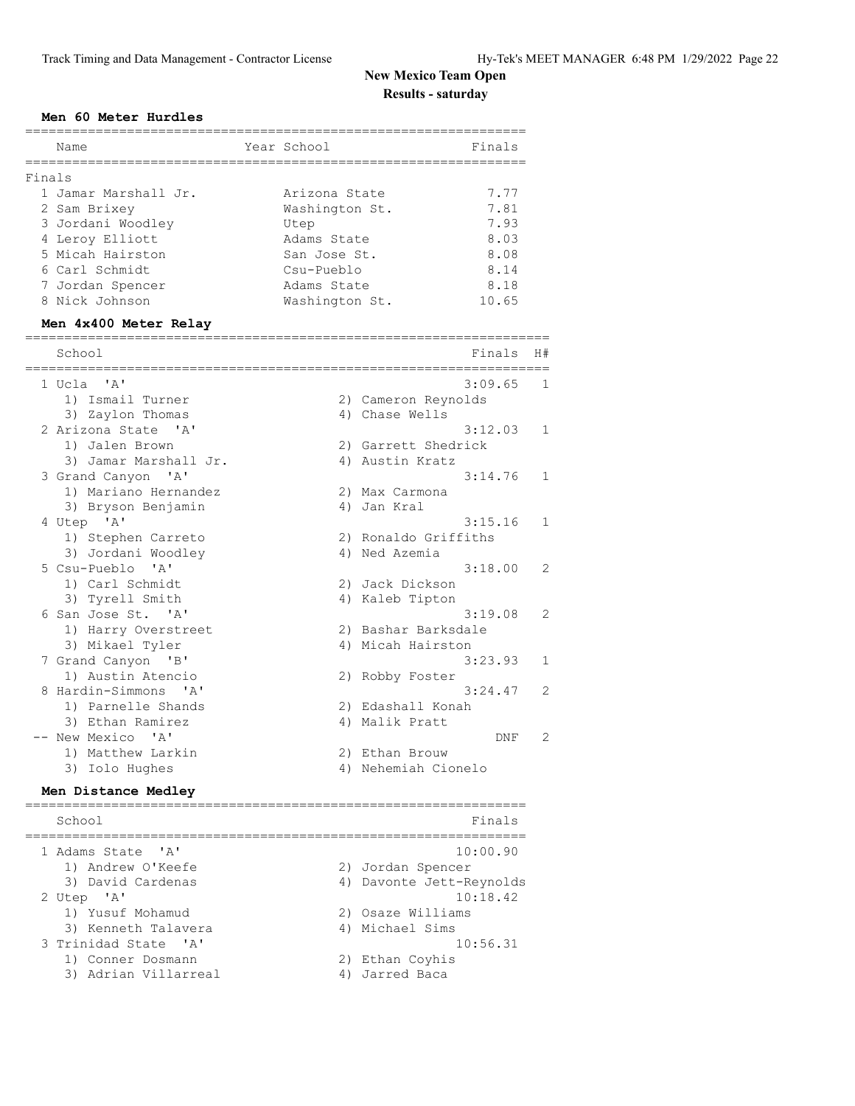### **Men 60 Meter Hurdles**

| Finals<br>1 Jamar Marshall Jr.<br>Arizona State<br>2 Sam Brixey<br>Washington St.<br>3 Jordani Woodley<br>Utep<br>4 Leroy Elliott<br>Adams State |                      | 7.77<br>7.81 |                |
|--------------------------------------------------------------------------------------------------------------------------------------------------|----------------------|--------------|----------------|
|                                                                                                                                                  |                      |              |                |
|                                                                                                                                                  |                      |              |                |
|                                                                                                                                                  |                      |              |                |
|                                                                                                                                                  |                      | 7.93         |                |
|                                                                                                                                                  |                      | 8.03         |                |
| 5 Micah Hairston<br>San Jose St.                                                                                                                 |                      | 8.08         |                |
| 6 Carl Schmidt<br>Csu-Pueblo                                                                                                                     |                      | 8.14         |                |
| 7 Jordan Spencer<br>Adams State                                                                                                                  |                      | 8.18         |                |
| 8 Nick Johnson<br>Washington St.                                                                                                                 |                      | 10.65        |                |
| Men 4x400 Meter Relay                                                                                                                            |                      |              |                |
| School                                                                                                                                           |                      | Finals       | H#             |
| 1 Ucla 'A'                                                                                                                                       |                      | 3:09.65      | 1              |
| 1) Ismail Turner                                                                                                                                 | 2) Cameron Reynolds  |              |                |
| 3) Zaylon Thomas                                                                                                                                 | 4) Chase Wells       |              |                |
| 2 Arizona State 'A'                                                                                                                              |                      | 3:12.03      | 1              |
| 1) Jalen Brown                                                                                                                                   | 2) Garrett Shedrick  |              |                |
| 3) Jamar Marshall Jr.                                                                                                                            | 4) Austin Kratz      |              |                |
| 3 Grand Canyon 'A'                                                                                                                               |                      | 3:14.76      | 1              |
| 1) Mariano Hernandez                                                                                                                             | 2) Max Carmona       |              |                |
| 3) Bryson Benjamin                                                                                                                               | 4) Jan Kral          |              |                |
| 4 Utep 'A'                                                                                                                                       |                      | 3:15.16      | 1              |
| 1) Stephen Carreto                                                                                                                               | 2) Ronaldo Griffiths |              |                |
| 3) Jordani Woodley                                                                                                                               | 4) Ned Azemia        |              |                |
| 5 Csu-Pueblo 'A'                                                                                                                                 |                      | 3:18.00      | 2              |
| 1) Carl Schmidt                                                                                                                                  | 2) Jack Dickson      |              |                |
| 3) Tyrell Smith                                                                                                                                  | 4) Kaleb Tipton      |              |                |
| 6 San Jose St. 'A'                                                                                                                               |                      | 3:19.08      | 2              |
| 1) Harry Overstreet                                                                                                                              | 2) Bashar Barksdale  |              |                |
| 3) Mikael Tyler                                                                                                                                  | 4) Micah Hairston    |              |                |
| 7 Grand Canyon 'B'                                                                                                                               |                      | 3:23.93      | 1              |
| 1) Austin Atencio                                                                                                                                | 2) Robby Foster      |              |                |
| 8 Hardin-Simmons 'A'                                                                                                                             |                      | 3:24.47      | $\overline{2}$ |
| 1) Parnelle Shands                                                                                                                               | 2) Edashall Konah    |              |                |
| 3) Ethan Ramirez                                                                                                                                 | 4) Malik Pratt       |              |                |
| -- New Mexico 'A'                                                                                                                                |                      | DNF          | 2              |
| 1) Matthew Larkin                                                                                                                                | 2) Ethan Brouw       |              |                |
| 3) Iolo Hughes                                                                                                                                   | 4) Nehemiah Cionelo  |              |                |
| Men Distance Medley                                                                                                                              |                      |              |                |
| School                                                                                                                                           |                      | Finals       |                |

| 1 Adams State 'A'    | 10:00.90                 |
|----------------------|--------------------------|
| 1) Andrew O'Keefe    | 2) Jordan Spencer        |
| 3) David Cardenas    | 4) Davonte Jett-Reynolds |
| 2 Utep 'A'           | 10:18.42                 |
| 1) Yusuf Mohamud     | 2) Osaze Williams        |
| 3) Kenneth Talavera  | 4) Michael Sims          |
| 3 Trinidad State 'A' | 10:56.31                 |
| 1) Conner Dosmann    | 2) Ethan Coyhis          |
| 3) Adrian Villarreal | 4) Jarred Baca           |
|                      |                          |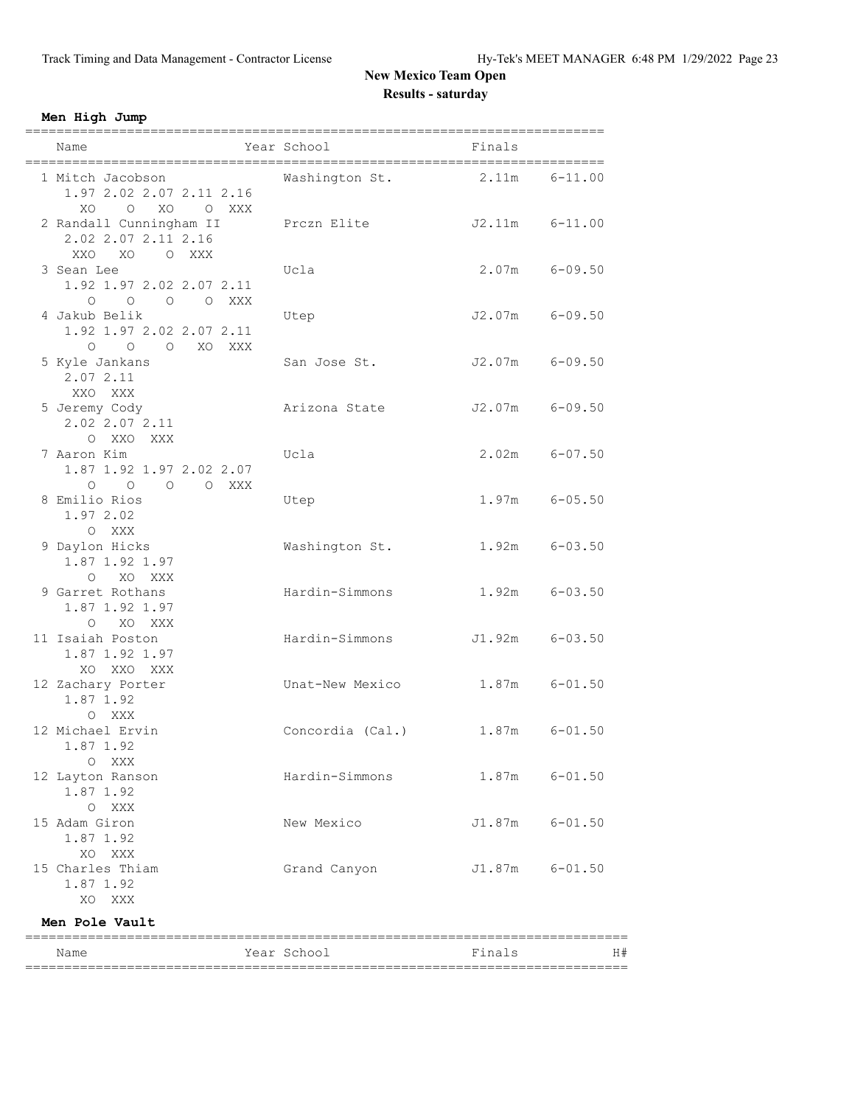**Men High Jump**

| ============<br>Name                         | Year School      | =========<br>Finals |                   |
|----------------------------------------------|------------------|---------------------|-------------------|
|                                              |                  |                     |                   |
| 1 Mitch Jacobson                             | Washington St.   | 2.11m               | $6 - 11.00$       |
| 1.97 2.02 2.07 2.11 2.16<br>O XO O XXX<br>XO |                  |                     |                   |
| 2 Randall Cunningham II                      | Prczn Elite      | $J2.11m$ $6-11.00$  |                   |
| 2.02 2.07 2.11 2.16                          |                  |                     |                   |
| XXO<br>XO<br>O XXX                           |                  |                     |                   |
| 3 Sean Lee                                   | Ucla             | $2.07m$ 6-09.50     |                   |
| 1.92 1.97 2.02 2.07 2.11                     |                  |                     |                   |
| 0 0 0 0 XXX                                  |                  |                     |                   |
| 4 Jakub Belik                                | Utep             | J2.07m 6-09.50      |                   |
| 1.92 1.97 2.02 2.07 2.11                     |                  |                     |                   |
| $\overline{O}$<br>O XO XXX<br>$\circ$        |                  |                     |                   |
| 5 Kyle Jankans<br>2.07 2.11                  | San Jose St.     | $J2.07m$ 6-09.50    |                   |
| XXO XXX                                      |                  |                     |                   |
| 5 Jeremy Cody                                | Arizona State    | $J2.07m$ 6-09.50    |                   |
| 2.02 2.07 2.11                               |                  |                     |                   |
| O XXO XXX                                    |                  |                     |                   |
| 7 Aaron Kim                                  | Ucla             |                     | $2.02m$ 6-07.50   |
| 1.87 1.92 1.97 2.02 2.07                     |                  |                     |                   |
| $O$ $O$ $O$ $O$ $XXX$                        |                  |                     |                   |
| 8 Emilio Rios                                | Utep             |                     | $1.97m$ 6-05.50   |
| 1.97 2.02                                    |                  |                     |                   |
| O XXX                                        |                  |                     |                   |
| 9 Daylon Hicks                               | Washington St.   | $1.92m$ $6-03.50$   |                   |
| 1.87 1.92 1.97                               |                  |                     |                   |
| O XO XXX<br>9 Garret Rothans                 | Hardin-Simmons   |                     | $1.92m$ $6-03.50$ |
| 1.87 1.92 1.97                               |                  |                     |                   |
| O XO XXX                                     |                  |                     |                   |
| 11 Isaiah Poston                             | Hardin-Simmons   | $J1.92m$ $6-03.50$  |                   |
| 1.87 1.92 1.97                               |                  |                     |                   |
| XO XXO XXX                                   |                  |                     |                   |
| 12 Zachary Porter                            | Unat-New Mexico  | $1.87m$ $6-01.50$   |                   |
| 1.87 1.92                                    |                  |                     |                   |
| O XXX                                        |                  |                     |                   |
| 12 Michael Ervin                             | Concordia (Cal.) | $1.87m$ $6-01.50$   |                   |
| 1.87 1.92                                    |                  |                     |                   |
| O XXX                                        |                  |                     |                   |
| 12 Layton Ranson<br>1.87 1.92                | Hardin-Simmons   | $1.87m$ $6-01.50$   |                   |
| O XXX                                        |                  |                     |                   |
| 15 Adam Giron                                | New Mexico       | J1.87m 6-01.50      |                   |
| 1.87 1.92                                    |                  |                     |                   |
| XO XXX                                       |                  |                     |                   |
| 15 Charles Thiam                             | Grand Canyon     | J1.87m 6-01.50      |                   |
| 1.87 1.92                                    |                  |                     |                   |
| XO XXX                                       |                  |                     |                   |
| Men Pole Vault                               |                  |                     |                   |
| Name                                         | Year School      | Finals              | H#                |
|                                              |                  |                     |                   |
|                                              |                  |                     |                   |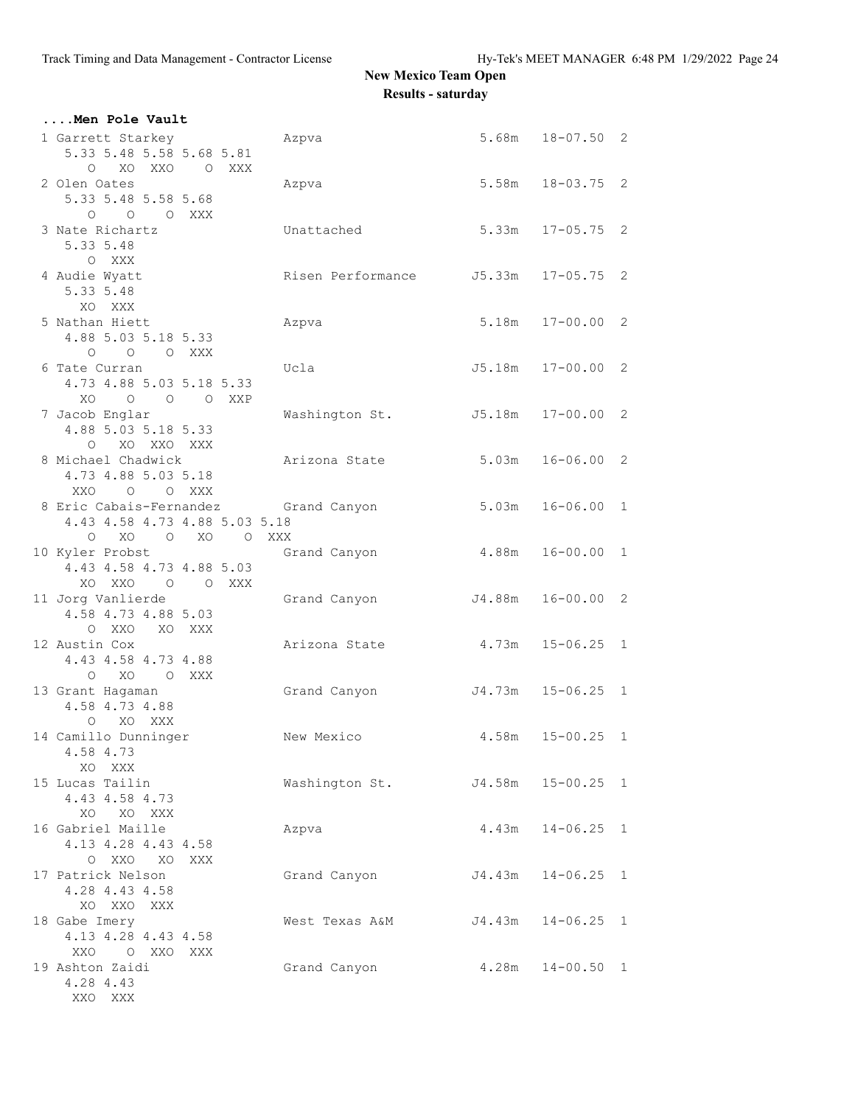| Men Pole Vault                                                                           |                                     |                      |                      |  |
|------------------------------------------------------------------------------------------|-------------------------------------|----------------------|----------------------|--|
| 1 Garrett Starkey<br>5.33 5.48 5.58 5.68 5.81                                            | Azpva                               |                      | $5.68m$ $18-07.50$ 2 |  |
| O XO XXO O XXX<br>2 Olen Oates<br>5.33 5.48 5.58 5.68                                    | Azpva                               |                      | $5.58m$ $18-03.75$ 2 |  |
| 0 0 0 XXX<br>3 Nate Richartz<br>5.33 5.48<br>O XXX                                       | Unattached                          | $5.33m$ $17-05.75$ 2 |                      |  |
| 4 Audie Wyatt<br>5.33 5.48<br>XO XXX                                                     | Risen Performance J5.33m 17-05.75 2 |                      |                      |  |
| 5 Nathan Hiett<br>4.88 5.03 5.18 5.33<br>O O O XXX                                       | Azpva                               |                      | 5.18m  17-00.00  2   |  |
| 6 Tate Curran<br>4.73 4.88 5.03 5.18 5.33<br>XO O O O XXP                                | Ucla                                | J5.18m  17-00.00  2  |                      |  |
| 7 Jacob Englar<br>4.88 5.03 5.18 5.33<br>XO XXO XXX<br>$\circ$                           | Washington St. 55.18m 17-00.00 2    |                      |                      |  |
| 8 Michael Chadwick<br>4.73 4.88 5.03 5.18<br>XXO O O XXX                                 | Arizona State                       | 5.03m                | $16 - 06.00$ 2       |  |
| 8 Eric Cabais-Fernandez Grand Canyon<br>4.43 4.58 4.73 4.88 5.03 5.18<br>O XO O XO O XXX |                                     | 5.03m                | $16 - 06.00$ 1       |  |
| 10 Kyler Probst<br>4.43 4.58 4.73 4.88 5.03<br>XO XXO O O XXX                            | Grand Canyon                        | 4.88m  16-00.00  1   |                      |  |
| 11 Jorg Vanlierde<br>4.58 4.73 4.88 5.03<br>O XXO XO XXX                                 | Grand Canyon 54.88m 16-00.00 2      |                      |                      |  |
| 12 Austin Cox<br>4.43 4.58 4.73 4.88<br>O XO O XXX                                       | Arizona State                       | $4.73m$ $15-06.25$ 1 |                      |  |
| 13 Grant Hagaman<br>4.58 4.73 4.88<br>O XO XXX                                           | Grand Canyon                        | J4.73m 15-06.25 1    |                      |  |
| 14 Camillo Dunninger<br>4.58 4.73<br>XO XXX                                              | New Mexico                          | 4.58m                | $15 - 00.25$ 1       |  |
| 15 Lucas Tailin<br>4.43 4.58 4.73<br>XO XO XXX                                           | Washington St.                      |                      | J4.58m 15-00.25 1    |  |
| 16 Gabriel Maille<br>4.13 4.28 4.43 4.58<br>O XXO XO XXX                                 | Azpva                               |                      | $4.43m$ $14-06.25$ 1 |  |
| 17 Patrick Nelson<br>4.28 4.43 4.58<br>XO XXO XXX                                        | Grand Canyon J4.43m 14-06.25 1      |                      |                      |  |
| 18 Gabe Imery<br>4.13 4.28 4.43 4.58<br>XXO O XXO XXX                                    | West Texas A&M                      | J4.43m 14-06.25 1    |                      |  |
| 19 Ashton Zaidi<br>4.28 4.43<br>XXO XXX                                                  | Grand Canyon                        |                      | $4.28m$ $14-00.50$ 1 |  |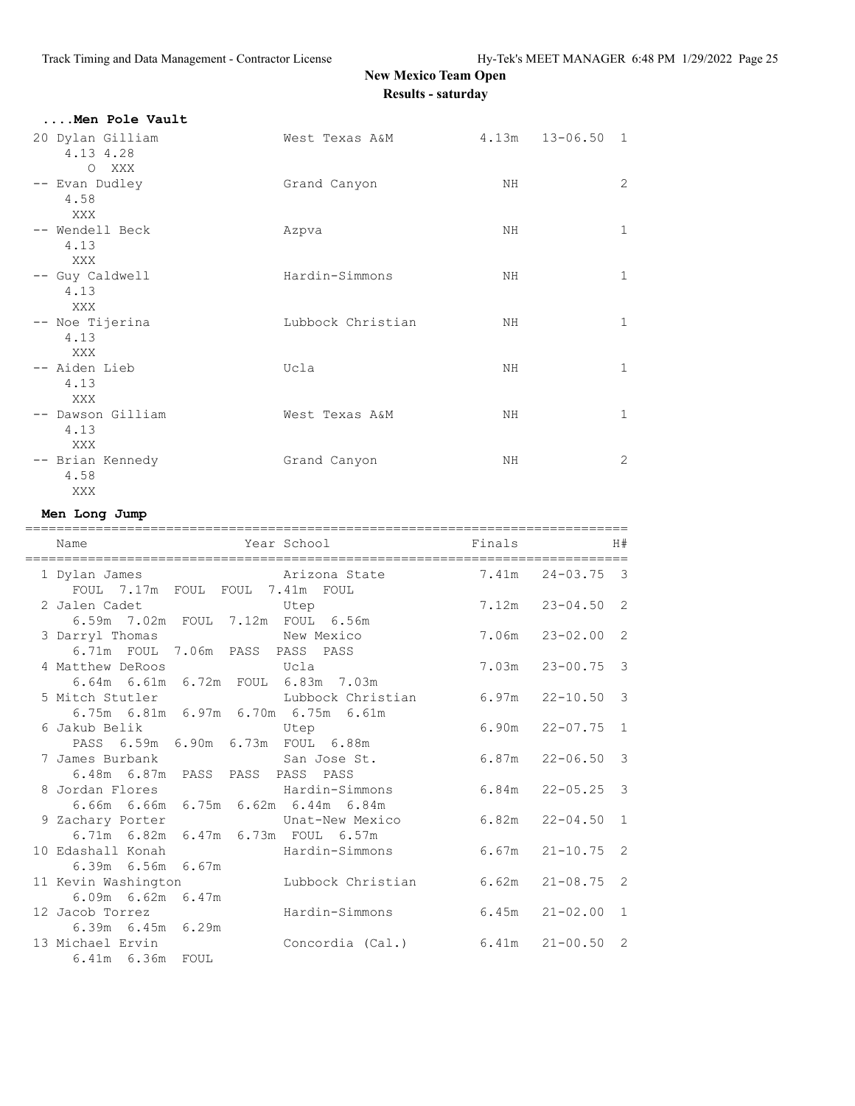| Men Pole Vault                |                   |    |                      |              |
|-------------------------------|-------------------|----|----------------------|--------------|
| 20 Dylan Gilliam<br>4.13 4.28 | West Texas A&M    |    | $4.13m$ $13-06.50$ 1 |              |
| O XXX                         |                   |    |                      |              |
| -- Evan Dudley<br>4.58        | Grand Canyon      | NH |                      | 2            |
| XXX<br>-- Wendell Beck        | Azpva             | NH |                      | $\mathbf{1}$ |
| 4.13                          |                   |    |                      |              |
| XXX                           |                   |    |                      |              |
| -- Guy Caldwell<br>4.13       | Hardin-Simmons    | NH |                      | $\mathbf{1}$ |
| XXX                           |                   |    |                      |              |
| -- Noe Tijerina<br>4.13       | Lubbock Christian | ΝH |                      | $\mathbf{1}$ |
| XXX                           |                   |    |                      |              |
| -- Aiden Lieb<br>4.13<br>XXX  | Ucla              | ΝH |                      | $\mathbf{1}$ |
| -- Dawson Gilliam             | West Texas A&M    | NH |                      | $\mathbf{1}$ |
| 4.13<br>XXX                   |                   |    |                      |              |
| -- Brian Kennedy              | Grand Canyon      | NH |                      | 2            |
| 4.58                          |                   |    |                      |              |
| XXX                           |                   |    |                      |              |

### **Men Long Jump**

|                                                                                         | =================================                                           | ================================= |                      |                |
|-----------------------------------------------------------------------------------------|-----------------------------------------------------------------------------|-----------------------------------|----------------------|----------------|
| Name                                                                                    | Year School                                                                 | Finals                            |                      | H#             |
| 1 Dylan James<br>FOUL 7.17m FOUL FOUL 7.41m FOUL                                        | Arizona State 7.41m 24-03.75 3                                              |                                   |                      |                |
| 2 Jalen Cadet Carry Utep                                                                |                                                                             |                                   | $7.12m$ $23-04.50$ 2 |                |
| 6.59m 7.02m FOUL 7.12m FOUL 6.56m<br>3 Darryl Thomas<br>6.71m FOUL 7.06m PASS PASS PASS | New Mexico                                                                  |                                   | $7.06m$ $23-02.00$ 2 |                |
| 4 Matthew DeRoos Government Ucla                                                        | 6.64m 6.61m 6.72m FOUL 6.83m 7.03m                                          |                                   | $7.03m$ $23-00.75$ 3 |                |
|                                                                                         | 5 Mitch Stutler Lubbock Christian<br>6.75m 6.81m 6.97m 6.70m 6.75m 6.61m    |                                   | $6.97m$ $22-10.50$ 3 |                |
| 6 Jakub Belik                                                                           | Utep<br>PASS 6.59m 6.90m 6.73m FOUL 6.88m                                   |                                   | $6.90m$ $22-07.75$ 1 |                |
| 7 James Burbank San Jose St.<br>6.48m 6.87m PASS PASS PASS PASS                         |                                                                             | 6.87m                             | $22 - 06.50$         | $\overline{3}$ |
| 8 Jordan Flores Mardin-Simmons                                                          | 6.66m 6.66m 6.75m 6.62m 6.44m 6.84m                                         |                                   | $6.84m$ $22-05.25$ 3 |                |
|                                                                                         | 9 Zachary Porter [19] Unat-New Mexico<br>6.71m 6.82m 6.47m 6.73m FOUL 6.57m |                                   | $6.82m$ $22-04.50$ 1 |                |
| 6.39m 6.56m 6.67m                                                                       | 10 Edashall Konah Mardin-Simmons                                            |                                   | $6.67m$ $21-10.75$ 2 |                |
| $6.09m$ $6.62m$ $6.47m$                                                                 | 11 Kevin Washington Mubbock Christian 6.62m 21-08.75 2                      |                                   |                      |                |
| 12 Jacob Torrez                                                                         | Hardin-Simmons                                                              |                                   | $6.45m$ $21-02.00$ 1 |                |
| $6.39m$ $6.45m$ $6.29m$<br>13 Michael Ervin<br>6.41m 6.36m FOUL                         | Concordia (Cal.) 6.41m 21-00.50 2                                           |                                   |                      |                |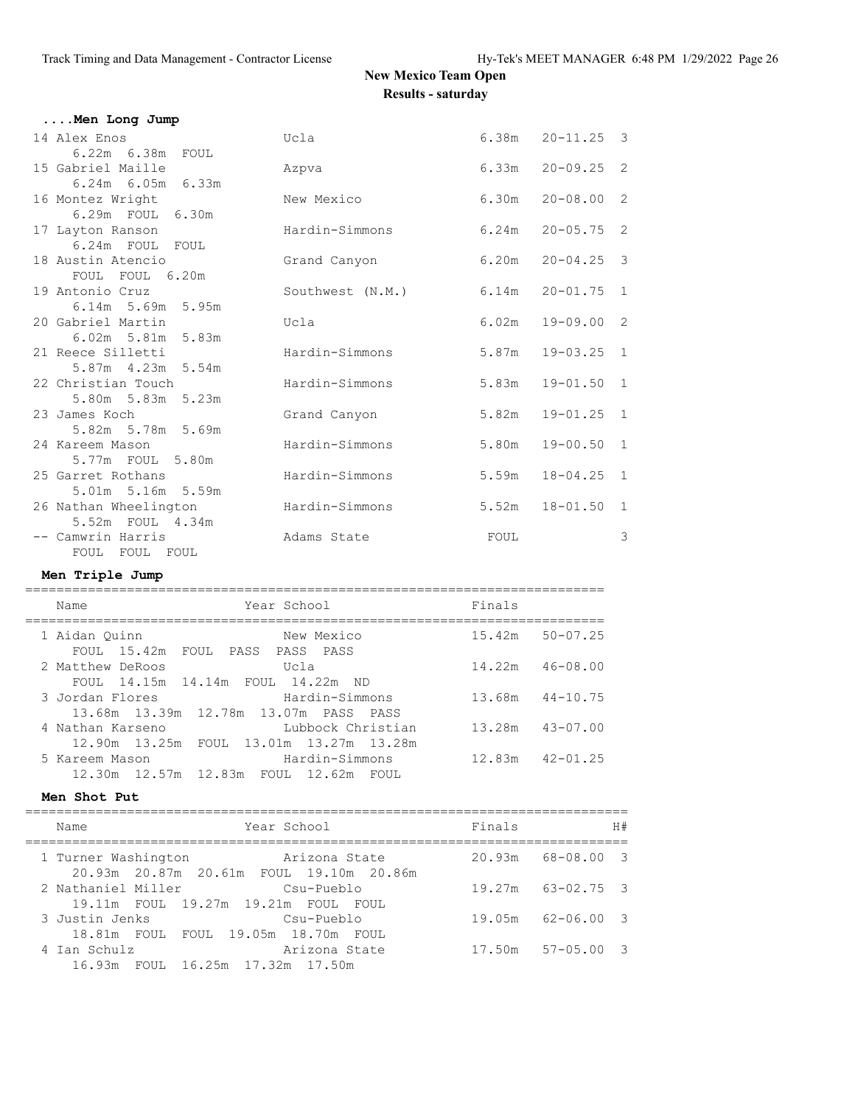$6.38m$   $20-11.25$  3

 $6.33m$   $20-09.25$  2

 $6.30m$   $20-08.00$  2

 $6.24m$   $20-05.75$  2

 $6.20m$   $20-04.25$  3

 $6.14m$   $20-01.75$  1

 $6.02m$   $19-09.00$  2

### **New Mexico Team Open Results - saturday**

| Men Long Jump           |                  |
|-------------------------|------------------|
| 14 Alex Enos            | Ucla             |
| 6.22m 6.38m<br>FOUL     |                  |
| 15 Gabriel Maille       | Azpva            |
| $6.24m$ $6.05m$ $6.33m$ |                  |
| 16 Montez Wright        | New Mexico       |
| 6.29m FOUL 6.30m        |                  |
| 17 Layton Ranson        | Hardin-Simmons   |
| 6.24m FOUL FOUL         |                  |
| 18 Austin Atencio       | Grand Canyon     |
| FOUL FOUL 6.20m         |                  |
| 19 Antonio Cruz         | Southwest (N.M.) |
| $6.14m$ 5.69m 5.95m     |                  |
| 20 Gabriel Martin       | Ucla             |
| 6.02m 5.81m 5.83m       |                  |
| 21 Reece Silletti       | Hardin-Simmons   |
| 5.87m 4.23m 5.54m       |                  |
| 22 Christian Touch      | Hardin-Simmons   |

| 0.02.111 J.OIIII J.OJIII |                |       |                |   |
|--------------------------|----------------|-------|----------------|---|
| 21 Reece Silletti        | Hardin-Simmons | 5.87m | $19 - 03.25$ 1 |   |
| 5.87m 4.23m 5.54m        |                |       |                |   |
| 22 Christian Touch       | Hardin-Simmons | 5.83m | $19 - 01.50$ 1 |   |
| 5.80m 5.83m 5.23m        |                |       |                |   |
| 23 James Koch            | Grand Canyon   | 5.82m | $19 - 01.25$ 1 |   |
| 5.82m 5.78m 5.69m        |                |       |                |   |
| 24 Kareem Mason          | Hardin-Simmons | 5.80m | $19 - 00.50$ 1 |   |
| 5.77m FOUL 5.80m         |                |       |                |   |
| 25 Garret Rothans        | Hardin-Simmons | 5.59m | $18 - 04.25$ 1 |   |
| 5.01m 5.16m 5.59m        |                |       |                |   |
| 26 Nathan Wheelington    | Hardin-Simmons | 5.52m | $18 - 01.50$ 1 |   |
| 5.52m FOUL 4.34m         |                |       |                |   |
| -- Camwrin Harris        | Adams State    | FOUL  |                | 3 |
| FOUL<br>FOUL<br>FOUL     |                |       |                |   |

**Men Triple Jump**

| Name             | Year School                                                  | Finals |              |
|------------------|--------------------------------------------------------------|--------|--------------|
| 1 Aidan Ouinn    | New Mexico<br>FOUL 15.42m FOUL PASS PASS PASS                | 15.42m | $50 - 07.25$ |
| 2 Matthew DeRoos | Ucla<br>FOUL 14.15m 14.14m FOUL 14.22m ND                    | 14.22m | 46-08.00     |
| 3 Jordan Flores  | Hardin-Simmons<br>13.68m 13.39m 12.78m 13.07m PASS PASS      | 13.68m | $44 - 10.75$ |
| 4 Nathan Karseno | Lubbock Christian<br>12.90m 13.25m FOUL 13.01m 13.27m 13.28m | 13.28m | 43-07.00     |
| 5 Kareem Mason   | Hardin-Simmons<br>12.30m 12.57m 12.83m FOUL 12.62m FOUL      | 12.83m | $42 - 01.25$ |

#### **Men Shot Put**

| Name                                                      | Year School                                                   | Finals |                       | H# |
|-----------------------------------------------------------|---------------------------------------------------------------|--------|-----------------------|----|
| 1 Turner Washington                                       | Arizona State<br>20.93m  20.87m  20.61m  FOUL  19.10m  20.86m |        | $20.93m$ $68-08.00$ 3 |    |
| 2 Nathaniel Miller<br>19.11m FOUL 19.27m 19.21m FOUL FOUL | Csu-Pueblo                                                    |        | $19.27m$ $63-02.75$ 3 |    |
| 3 Justin Jenks<br>18.81m FOUL FOUL 19.05m 18.70m FOUL     | Csu-Pueblo                                                    |        | 19.05m 62-06.00 3     |    |
| 4 Ian Schulz<br>16.93m FOUL 16.25m 17.32m 17.50m          | Arizona State                                                 |        | $17.50m$ $57-05.00$ 3 |    |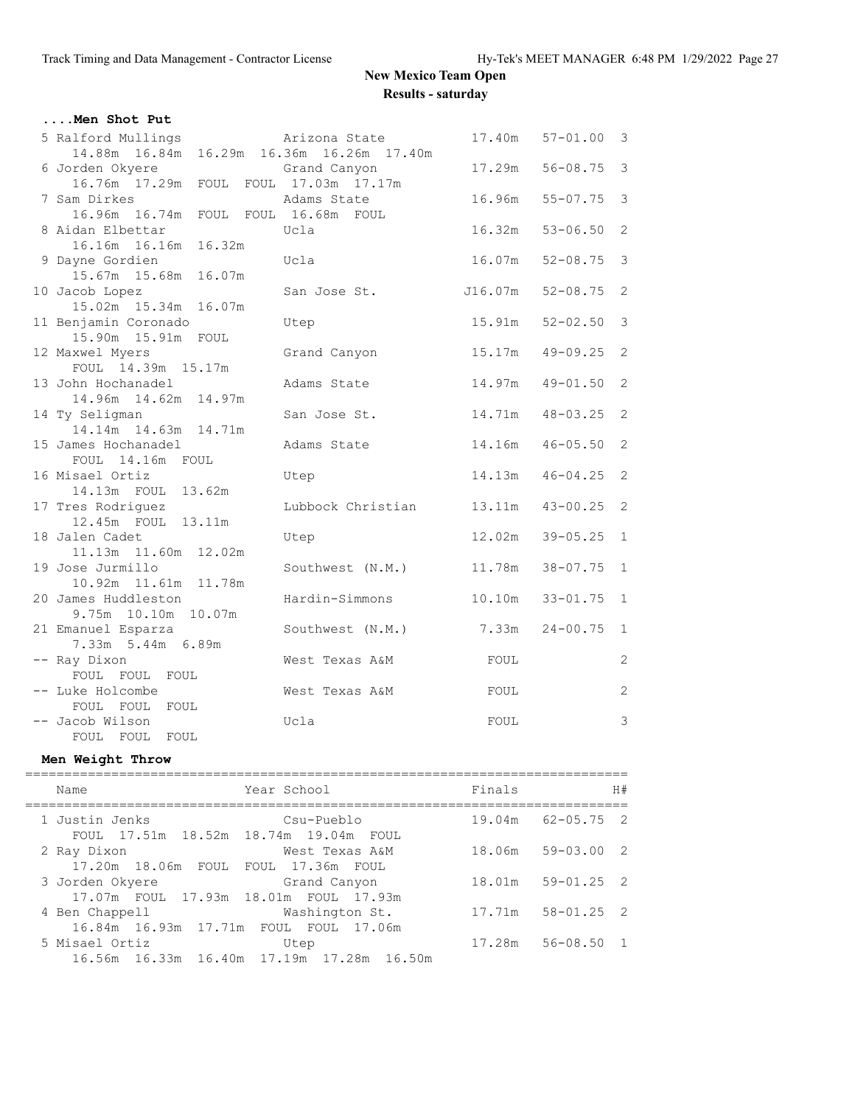| Men Shot Put                                   |                   |         |                |                            |
|------------------------------------------------|-------------------|---------|----------------|----------------------------|
| 5 Ralford Mullings                             | Arizona State     | 17.40m  | $57 - 01.00$ 3 |                            |
| 14.88m  16.84m  16.29m  16.36m  16.26m  17.40m |                   |         |                |                            |
| 6 Jorden Okyere                                | Grand Canyon      | 17.29m  | $56 - 08.75$ 3 |                            |
| 16.76m  17.29m  FOUL  FOUL  17.03m  17.17m     |                   |         |                |                            |
| 7 Sam Dirkes                                   | Adams State       | 16.96m  | $55 - 07.75$   | $\overline{\mathbf{3}}$    |
| 16.96m 16.74m FOUL FOUL 16.68m FOUL            |                   |         |                |                            |
| 8 Aidan Elbettar                               | Ucla              | 16.32m  | $53 - 06.50$   | 2                          |
| 16.16m 16.16m 16.32m                           |                   |         |                |                            |
| 9 Dayne Gordien                                | Ucla              | 16.07m  | $52 - 08.75$   | 3                          |
| 15.67m 15.68m 16.07m                           |                   |         |                |                            |
| 10 Jacob Lopez                                 | San Jose St.      | J16.07m | $52 - 08.75$   | 2                          |
| 15.02m  15.34m  16.07m                         |                   |         |                |                            |
| 11 Benjamin Coronado<br>15.90m  15.91m  FOUL   | Utep              | 15.91m  | $52 - 02.50$   | $\mathcal{S}$              |
| 12 Maxwel Myers                                | Grand Canyon      | 15.17m  | $49 - 09.25$   | $\overline{\phantom{0}}^2$ |
| FOUL 14.39m 15.17m                             |                   |         |                |                            |
| 13 John Hochanadel                             | Adams State       | 14.97m  | $49 - 01.50$   | 2                          |
| 14.96m  14.62m  14.97m                         |                   |         |                |                            |
| 14 Ty Seligman                                 | San Jose St.      | 14.71m  | $48 - 03.25$   | 2                          |
| 14.14m  14.63m  14.71m                         |                   |         |                |                            |
| 15 James Hochanadel                            | Adams State       | 14.16m  | $46 - 05.50$   | 2                          |
| FOUL 14.16m FOUL                               |                   |         |                |                            |
| 16 Misael Ortiz                                | Utep              | 14.13m  | $46 - 04.25$ 2 |                            |
| 14.13m FOUL 13.62m                             |                   |         |                |                            |
| 17 Tres Rodriquez                              | Lubbock Christian | 13.11m  | $43 - 00.25$ 2 |                            |
| 12.45m FOUL 13.11m                             |                   |         |                |                            |
| 18 Jalen Cadet                                 | Utep              | 12.02m  | $39 - 05.25$   | $1\,$                      |
| 11.13m  11.60m  12.02m<br>19 Jose Jurmillo     | Southwest (N.M.)  | 11.78m  | $38 - 07.75$   | $\mathbf{1}$               |
| 10.92m 11.61m 11.78m                           |                   |         |                |                            |
| 20 James Huddleston                            | Hardin-Simmons    | 10.10m  | $33 - 01.75$   | $\mathbf{1}$               |
| 9.75m 10.10m 10.07m                            |                   |         |                |                            |
| 21 Emanuel Esparza                             | Southwest (N.M.)  | 7.33m   | $24 - 00.75$   | $\mathbf{1}$               |
| 7.33m 5.44m 6.89m                              |                   |         |                |                            |
| -- Ray Dixon                                   | West Texas A&M    | FOUL    |                | $\overline{c}$             |
| FOUL FOUL FOUL                                 |                   |         |                |                            |
| -- Luke Holcombe                               | West Texas A&M    | FOUL    |                | $\mathbf{2}$               |
| FOUL FOUL FOUL                                 |                   |         |                |                            |
| -- Jacob Wilson                                | Ucla              | FOUL    |                | $\mathcal{S}$              |
| FOUL FOUL FOUL                                 |                   |         |                |                            |

### **Men Weight Throw**

| Name                                                     | Year School                                       | Finals | H#                    |
|----------------------------------------------------------|---------------------------------------------------|--------|-----------------------|
| 1 Justin Jenks<br>FOUL 17.51m 18.52m 18.74m 19.04m FOUL  | Csu-Pueblo                                        |        | 19.04m 62-05.75 2     |
| 2 Ray Dixon<br>17.20m 18.06m FOUL FOUL 17.36m FOUL       | West Texas A&M                                    |        | 18.06m 59-03.00 2     |
| 3 Jorden Okyere<br>17.07m FOUL 17.93m 18.01m FOUL 17.93m | Grand Canyon                                      |        | 18.01m 59-01.25 2     |
| 4 Ben Chappell<br>16.84m 16.93m 17.71m FOUL FOUL 17.06m  | Washington St.                                    |        | 17.71m 58-01.25 2     |
| 5 Misael Ortiz                                           | Utep<br>16.56m 16.33m 16.40m 17.19m 17.28m 16.50m |        | $17.28m$ $56-08.50$ 1 |